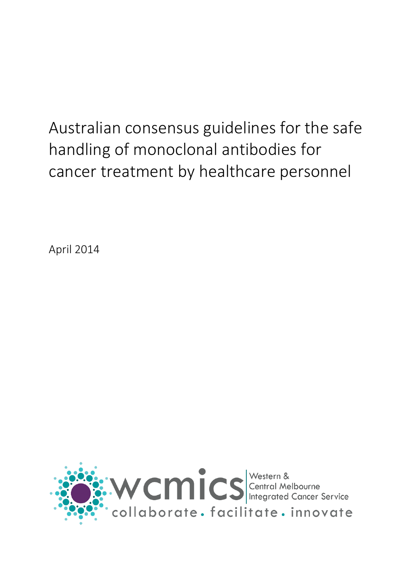# Australian consensus guidelines for the safe handling of monoclonal antibodies for cancer treatment by healthcare personnel

April 2014

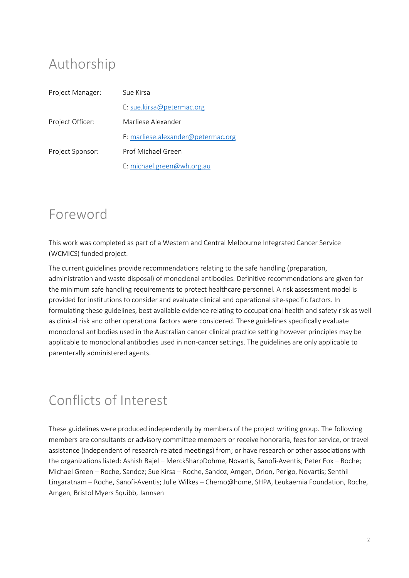### Authorship

| Project Manager: | Sue Kirsa                          |
|------------------|------------------------------------|
|                  | E: sue.kirsa@petermac.org          |
| Project Officer: | Marliese Alexander                 |
|                  | E: marliese.alexander@petermac.org |
| Project Sponsor: | Prof Michael Green                 |
|                  | E: michael.green@wh.org.au         |

### Foreword

This work was completed as part of a Western and Central Melbourne Integrated Cancer Service (WCMICS) funded project*.*

The current guidelines provide recommendations relating to the safe handling (preparation, administration and waste disposal) of monoclonal antibodies. Definitive recommendations are given for the minimum safe handling requirements to protect healthcare personnel. A risk assessment model is provided for institutions to consider and evaluate clinical and operational site-specific factors. In formulating these guidelines, best available evidence relating to occupational health and safety risk as well as clinical risk and other operational factors were considered. These guidelines specifically evaluate monoclonal antibodies used in the Australian cancer clinical practice setting however principles may be applicable to monoclonal antibodies used in non-cancer settings. The guidelines are only applicable to parenterally administered agents.

### Conflicts of Interest

These guidelines were produced independently by members of the project writing group. The following members are consultants or advisory committee members or receive honoraria, fees for service, or travel assistance (independent of research-related meetings) from; or have research or other associations with the organizations listed: Ashish Bajel – MerckSharpDohme, Novartis, Sanofi-Aventis; Peter Fox – Roche; Michael Green – Roche, Sandoz; Sue Kirsa – Roche, Sandoz, Amgen, Orion, Perigo, Novartis; Senthil Lingaratnam – Roche, Sanofi-Aventis; Julie Wilkes – Chemo@home, SHPA, Leukaemia Foundation, Roche, Amgen, Bristol Myers Squibb, Jannsen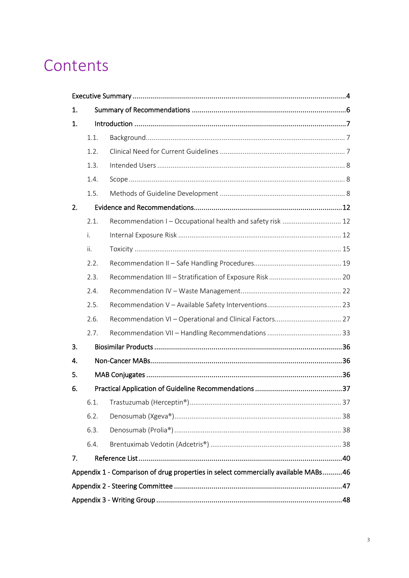### Contents

| 1. |      |                                                                                    |
|----|------|------------------------------------------------------------------------------------|
| 1. |      |                                                                                    |
|    | 1.1. |                                                                                    |
|    | 1.2. |                                                                                    |
|    | 1.3. |                                                                                    |
|    | 1.4. |                                                                                    |
|    | 1.5. |                                                                                    |
| 2. |      |                                                                                    |
|    | 2.1. | Recommendation I - Occupational health and safety risk  12                         |
|    | i.   |                                                                                    |
|    | ii.  |                                                                                    |
|    | 2.2. |                                                                                    |
|    | 2.3. |                                                                                    |
|    | 2.4. |                                                                                    |
|    | 2.5. |                                                                                    |
|    | 2.6. |                                                                                    |
|    | 2.7. |                                                                                    |
| 3. |      |                                                                                    |
| 4. |      |                                                                                    |
| 5. |      |                                                                                    |
| 6. |      |                                                                                    |
|    | 6.1. |                                                                                    |
|    | 6.2. |                                                                                    |
|    | 6.3. |                                                                                    |
|    | 6.4. |                                                                                    |
| 7. |      |                                                                                    |
|    |      | Appendix 1 - Comparison of drug properties in select commercially available MABs46 |
|    |      |                                                                                    |
|    |      |                                                                                    |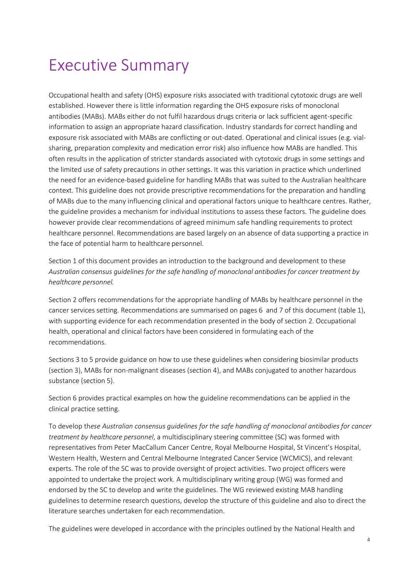### <span id="page-3-0"></span>Executive Summary

Occupational health and safety (OHS) exposure risks associated with traditional cytotoxic drugs are well established. However there is little information regarding the OHS exposure risks of monoclonal antibodies (MABs). MABs either do not fulfil hazardous drugs criteria or lack sufficient agent-specific information to assign an appropriate hazard classification. Industry standards for correct handling and exposure risk associated with MABs are conflicting or out-dated. Operational and clinical issues (e.g. vialsharing, preparation complexity and medication error risk) also influence how MABs are handled. This often results in the application of stricter standards associated with cytotoxic drugs in some settings and the limited use of safety precautions in other settings. It was this variation in practice which underlined the need for an evidence-based guideline for handling MABs that was suited to the Australian healthcare context. This guideline does not provide prescriptive recommendations for the preparation and handling of MABs due to the many influencing clinical and operational factors unique to healthcare centres. Rather, the guideline provides a mechanism for individual institutions to assess these factors. The guideline does however provide clear recommendations of agreed minimum safe handling requirements to protect healthcare personnel. Recommendations are based largely on an absence of data supporting a practice in the face of potential harm to healthcare personnel.

Section 1 of this document provides an introduction to the background and development to these *Australian consensus guidelines for the safe handling of monoclonal antibodies for cancer treatment by healthcare personnel.*

Section 2 offers recommendations for the appropriate handling of MABs by healthcare personnel in the cancer services setting. Recommendations are summarised on pages 6 and 7 of this document (table 1), with supporting evidence for each recommendation presented in the body of section 2. Occupational health, operational and clinical factors have been considered in formulating each of the recommendations.

Sections 3 to 5 provide guidance on how to use these guidelines when considering biosimilar products (section 3), MABs for non-malignant diseases (section 4), and MABs conjugated to another hazardous substance (section 5).

Section 6 provides practical examples on how the guideline recommendations can be applied in the clinical practice setting.

To develop th*ese Australian consensus guidelines for the safe handling of monoclonal antibodies for cancer treatment by healthcare personnel*, a multidisciplinary steering committee (SC) was formed with representatives from Peter MacCallum Cancer Centre, Royal Melbourne Hospital, St Vincent's Hospital, Western Health, Western and Central Melbourne Integrated Cancer Service (WCMICS), and relevant experts. The role of the SC was to provide oversight of project activities. Two project officers were appointed to undertake the project work. A multidisciplinary writing group (WG) was formed and endorsed by the SC to develop and write the guidelines. The WG reviewed existing MAB handling guidelines to determine research questions, develop the structure of this guideline and also to direct the literature searches undertaken for each recommendation.

The guidelines were developed in accordance with the principles outlined by the National Health and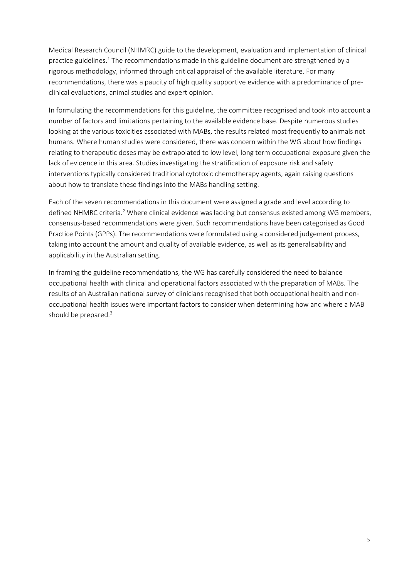Medical Research Council (NHMRC) guide to the development, evaluation and implementation of clinical practice guidelines.<sup>1</sup> The recommendations made in this guideline document are strengthened by a rigorous methodology, informed through critical appraisal of the available literature. For many recommendations, there was a paucity of high quality supportive evidence with a predominance of preclinical evaluations, animal studies and expert opinion.

In formulating the recommendations for this guideline, the committee recognised and took into account a number of factors and limitations pertaining to the available evidence base. Despite numerous studies looking at the various toxicities associated with MABs, the results related most frequently to animals not humans. Where human studies were considered, there was concern within the WG about how findings relating to therapeutic doses may be extrapolated to low level, long term occupational exposure given the lack of evidence in this area. Studies investigating the stratification of exposure risk and safety interventions typically considered traditional cytotoxic chemotherapy agents, again raising questions about how to translate these findings into the MABs handling setting.

Each of the seven recommendations in this document were assigned a grade and level according to defined NHMRC criteria.<sup>2</sup> Where clinical evidence was lacking but consensus existed among WG members, consensus-based recommendations were given. Such recommendations have been categorised as Good Practice Points (GPPs). The recommendations were formulated using a considered judgement process, taking into account the amount and quality of available evidence, as well as its generalisability and applicability in the Australian setting.

In framing the guideline recommendations, the WG has carefully considered the need to balance occupational health with clinical and operational factors associated with the preparation of MABs. The results of an Australian national survey of clinicians recognised that both occupational health and nonoccupational health issues were important factors to consider when determining how and where a MAB should be prepared.<sup>3</sup>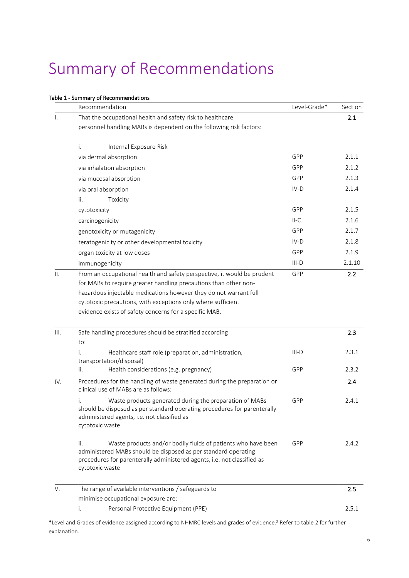## <span id="page-5-0"></span>Summary of Recommendations

#### Table 1 - Summary of Recommendations

|                 | Recommendation                                                                                                                                                                                                                       | Level-Grade* | Section |
|-----------------|--------------------------------------------------------------------------------------------------------------------------------------------------------------------------------------------------------------------------------------|--------------|---------|
| Ι.              | That the occupational health and safety risk to healthcare                                                                                                                                                                           |              | 2.1     |
|                 | personnel handling MABs is dependent on the following risk factors:                                                                                                                                                                  |              |         |
|                 | i.<br>Internal Exposure Risk                                                                                                                                                                                                         |              |         |
|                 | via dermal absorption                                                                                                                                                                                                                | GPP          | 2.1.1   |
|                 | via inhalation absorption                                                                                                                                                                                                            | GPP          | 2.1.2   |
|                 | via mucosal absorption                                                                                                                                                                                                               | GPP          | 2.1.3   |
|                 | via oral absorption                                                                                                                                                                                                                  | $IV-D$       | 2.1.4   |
|                 | ii.<br>Toxicity                                                                                                                                                                                                                      |              |         |
|                 | cytotoxicity                                                                                                                                                                                                                         | GPP          | 2.1.5   |
|                 | carcinogenicity                                                                                                                                                                                                                      | $II-C$       | 2.1.6   |
|                 | genotoxicity or mutagenicity                                                                                                                                                                                                         | GPP          | 2.1.7   |
|                 | teratogenicity or other developmental toxicity                                                                                                                                                                                       | IV-D         | 2.1.8   |
|                 | organ toxicity at low doses                                                                                                                                                                                                          | GPP          | 2.1.9   |
|                 | immunogenicity                                                                                                                                                                                                                       | III-D        | 2.1.10  |
| $\mathbf{II}$ . | From an occupational health and safety perspective, it would be prudent                                                                                                                                                              | GPP          | 2.2     |
|                 | for MABs to require greater handling precautions than other non-                                                                                                                                                                     |              |         |
|                 | hazardous injectable medications however they do not warrant full                                                                                                                                                                    |              |         |
|                 | cytotoxic precautions, with exceptions only where sufficient                                                                                                                                                                         |              |         |
|                 | evidence exists of safety concerns for a specific MAB.                                                                                                                                                                               |              |         |
| III.            | Safe handling procedures should be stratified according                                                                                                                                                                              |              | 2.3     |
|                 | to:                                                                                                                                                                                                                                  |              |         |
|                 | Healthcare staff role (preparation, administration,<br>i.<br>transportation/disposal)                                                                                                                                                | $III-D$      | 2.3.1   |
|                 | Health considerations (e.g. pregnancy)<br>ii.                                                                                                                                                                                        | GPP          | 2.3.2   |
| IV.             | Procedures for the handling of waste generated during the preparation or<br>clinical use of MABs are as follows:                                                                                                                     |              | 2.4     |
|                 | Waste products generated during the preparation of MABs<br>i.<br>should be disposed as per standard operating procedures for parenterally<br>administered agents, i.e. not classified as<br>cytotoxic waste                          | GPP          | 2.4.1   |
|                 | Waste products and/or bodily fluids of patients who have been<br>ii.<br>administered MABs should be disposed as per standard operating<br>procedures for parenterally administered agents, i.e. not classified as<br>cytotoxic waste | <b>GPP</b>   | 2.4.2   |
| V.              | The range of available interventions / safeguards to                                                                                                                                                                                 |              | 2.5     |
|                 | minimise occupational exposure are:                                                                                                                                                                                                  |              |         |
|                 | i.<br>Personal Protective Equipment (PPE)                                                                                                                                                                                            |              | 2.5.1   |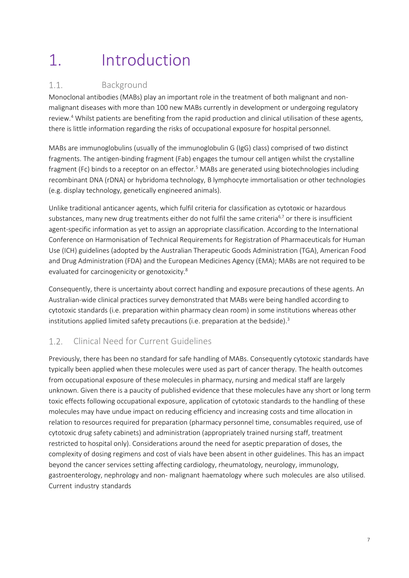# <span id="page-6-0"></span>1. Introduction

#### <span id="page-6-1"></span>Background  $1.1.$

Monoclonal antibodies (MABs) play an important role in the treatment of both malignant and nonmalignant diseases with more than 100 new MABs currently in development or undergoing regulatory review.<sup>4</sup> Whilst patients are benefiting from the rapid production and clinical utilisation of these agents, there is little information regarding the risks of occupational exposure for hospital personnel.

MABs are immunoglobulins (usually of the immunoglobulin G (IgG) class) comprised of two distinct fragments. The antigen-binding fragment (Fab) engages the tumour cell antigen whilst the crystalline fragment (Fc) binds to a receptor on an effector.<sup>5</sup> MABs are generated using biotechnologies including recombinant DNA (rDNA) or hybridoma technology, B lymphocyte immortalisation or other technologies (e.g. display technology, genetically engineered animals).

Unlike traditional anticancer agents, which fulfil criteria for classification as cytotoxic or hazardous substances, many new drug treatments either do not fulfil the same criteria<sup>6,7</sup> or there is insufficient agent-specific information as yet to assign an appropriate classification. According to the International Conference on Harmonisation of Technical Requirements for Registration of Pharmaceuticals for Human Use (ICH) guidelines (adopted by the Australian Therapeutic Goods Administration (TGA), American Food and Drug Administration (FDA) and the European Medicines Agency (EMA); MABs are not required to be evaluated for carcinogenicity or genotoxicity.<sup>8</sup>

Consequently, there is uncertainty about correct handling and exposure precautions of these agents. An Australian-wide clinical practices survey demonstrated that MABs were being handled according to cytotoxic standards (i.e. preparation within pharmacy clean room) in some institutions whereas other institutions applied limited safety precautions (i.e. preparation at the bedside). $3$ 

#### <span id="page-6-2"></span> $1.2.$ Clinical Need for Current Guidelines

Previously, there has been no standard for safe handling of MABs. Consequently cytotoxic standards have typically been applied when these molecules were used as part of cancer therapy. The health outcomes from occupational exposure of these molecules in pharmacy, nursing and medical staff are largely unknown. Given there is a paucity of published evidence that these molecules have any short or long term toxic effects following occupational exposure, application of cytotoxic standards to the handling of these molecules may have undue impact on reducing efficiency and increasing costs and time allocation in relation to resources required for preparation (pharmacy personnel time, consumables required, use of cytotoxic drug safety cabinets) and administration (appropriately trained nursing staff, treatment restricted to hospital only). Considerations around the need for aseptic preparation of doses, the complexity of dosing regimens and cost of vials have been absent in other guidelines. This has an impact beyond the cancer services setting affecting cardiology, rheumatology, neurology, immunology, gastroenterology, nephrology and non- malignant haematology where such molecules are also utilised. Current industry standards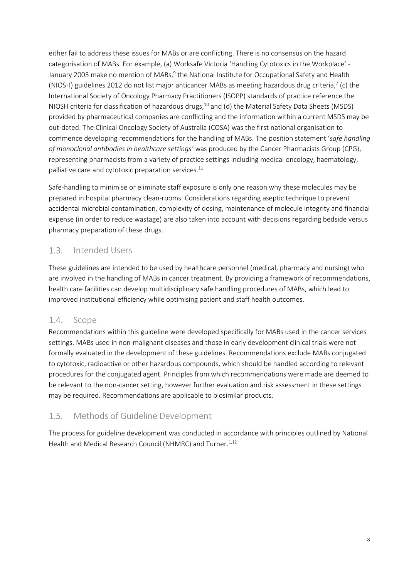either fail to address these issues for MABs or are conflicting. There is no consensus on the hazard categorisation of MABs. For example, (a) Worksafe Victoria 'Handling Cytotoxics in the Workplace' - January 2003 make no mention of MABs,<sup>9</sup> the National Institute for Occupational Safety and Health (NIOSH) guidelines 2012 do not list major anticancer MABs as meeting hazardous drug criteria,<sup>7</sup> (c) the International Society of Oncology Pharmacy Practitioners (ISOPP) standards of practice reference the NIOSH criteria for classification of hazardous drugs,<sup>10</sup> and (d) the Material Safety Data Sheets (MSDS) provided by pharmaceutical companies are conflicting and the information within a current MSDS may be out-dated. The Clinical Oncology Society of Australia (COSA) was the first national organisation to commence developing recommendations for the handling of MABs. The position statement '*safe handling of monoclonal antibodies in healthcare settings'* was produced by the Cancer Pharmacists Group (CPG), representing pharmacists from a variety of practice settings including medical oncology, haematology, palliative care and cytotoxic preparation services. $11$ 

Safe-handling to minimise or eliminate staff exposure is only one reason why these molecules may be prepared in hospital pharmacy clean-rooms. Considerations regarding aseptic technique to prevent accidental microbial contamination, complexity of dosing, maintenance of molecule integrity and financial expense (in order to reduce wastage) are also taken into account with decisions regarding bedside versus pharmacy preparation of these drugs.

#### <span id="page-7-0"></span>Intended Users  $1.3.$

These guidelines are intended to be used by healthcare personnel (medical, pharmacy and nursing) who are involved in the handling of MABs in cancer treatment. By providing a framework of recommendations, health care facilities can develop multidisciplinary safe handling procedures of MABs, which lead to improved institutional efficiency while optimising patient and staff health outcomes.

#### <span id="page-7-1"></span> $1.4.$ Scope

Recommendations within this guideline were developed specifically for MABs used in the cancer services settings. MABs used in non-malignant diseases and those in early development clinical trials were not formally evaluated in the development of these guidelines. Recommendations exclude MABs conjugated to cytotoxic, radioactive or other hazardous compounds, which should be handled according to relevant procedures for the conjugated agent. Principles from which recommendations were made are deemed to be relevant to the non-cancer setting, however further evaluation and risk assessment in these settings may be required. Recommendations are applicable to biosimilar products.

#### <span id="page-7-2"></span> $1.5.$ Methods of Guideline Development

The process for guideline development was conducted in accordance with principles outlined by National Health and Medical Research Council (NHMRC) and Turner.<sup>1,12</sup>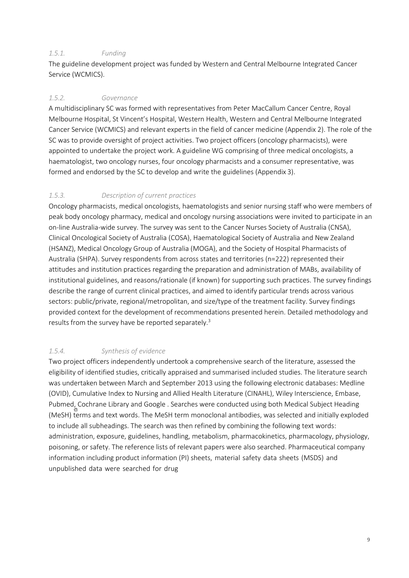#### *1.5.1. Funding*

The guideline development project was funded by Western and Central Melbourne Integrated Cancer Service (WCMICS).

#### *1.5.2. Governance*

A multidisciplinary SC was formed with representatives from Peter MacCallum Cancer Centre, Royal Melbourne Hospital, St Vincent's Hospital, Western Health, Western and Central Melbourne Integrated Cancer Service (WCMICS) and relevant experts in the field of cancer medicine (Appendix 2). The role of the SC was to provide oversight of project activities. Two project officers (oncology pharmacists), were appointed to undertake the project work. A guideline WG comprising of three medical oncologists, a haematologist, two oncology nurses, four oncology pharmacists and a consumer representative, was formed and endorsed by the SC to develop and write the guidelines (Appendix 3).

#### *1.5.3. Description of current practices*

Oncology pharmacists, medical oncologists, haematologists and senior nursing staff who were members of peak body oncology pharmacy, medical and oncology nursing associations were invited to participate in an on-line Australia-wide survey. The survey was sent to the Cancer Nurses Society of Australia (CNSA), Clinical Oncological Society of Australia (COSA), Haematological Society of Australia and New Zealand (HSANZ), Medical Oncology Group of Australia (MOGA), and the Society of Hospital Pharmacists of Australia (SHPA). Survey respondents from across states and territories (n=222) represented their attitudes and institution practices regarding the preparation and administration of MABs, availability of institutional guidelines, and reasons/rationale (if known) for supporting such practices. The survey findings describe the range of current clinical practices, and aimed to identify particular trends across various sectors: public/private, regional/metropolitan, and size/type of the treatment facility. Survey findings provided context for the development of recommendations presented herein. Detailed methodology and results from the survey have be reported separately.<sup>3</sup>

#### *1.5.4. Synthesis of evidence*

Two project officers independently undertook a comprehensive search of the literature, assessed the eligibility of identified studies, critically appraised and summarised included studies. The literature search was undertaken between March and September 2013 using the following electronic databases: Medline (OVID), Cumulative Index to Nursing and Allied Health Literature (CINAHL), Wiley Interscience, Embase, Pubmed, Cochrane Library and Google . Searches were conducted using both Medical Subject Heading (MeSH) terms and text words. The MeSH term monoclonal antibodies, was selected and initially exploded to include all subheadings. The search was then refined by combining the following text words: administration, exposure, guidelines, handling, metabolism, pharmacokinetics, pharmacology, physiology, poisoning, or safety. The reference lists of relevant papers were also searched. Pharmaceutical company information including product information (PI) sheets, material safety data sheets (MSDS) and unpublished data were searched for drug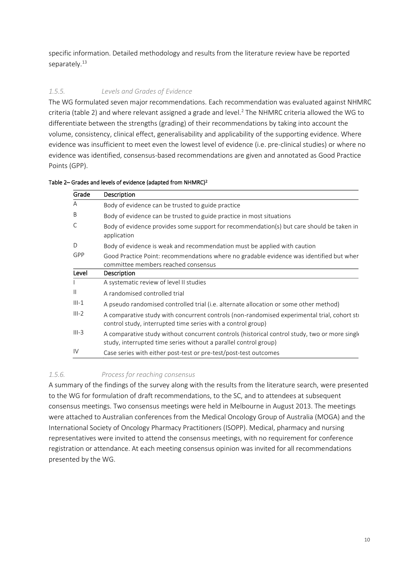specific information. Detailed methodology and results from the literature review have be reported separately.<sup>13</sup>

#### *1.5.5. Levels and Grades of Evidence*

The WG formulated seven major recommendations. Each recommendation was evaluated against NHMRC criteria (table 2) and where relevant assigned a grade and level.<sup>2</sup> The NHMRC criteria allowed the WG to differentiate between the strengths (grading) of their recommendations by taking into account the volume, consistency, clinical effect, generalisability and applicability of the supporting evidence. Where evidence was insufficient to meet even the lowest level of evidence (i.e. pre-clinical studies) or where no evidence was identified, consensus-based recommendations are given and annotated as Good Practice Points (GPP).

| Grade         | Description                                                                                                                                                       |
|---------------|-------------------------------------------------------------------------------------------------------------------------------------------------------------------|
| A             | Body of evidence can be trusted to guide practice                                                                                                                 |
| B             | Body of evidence can be trusted to guide practice in most situations                                                                                              |
| С             | Body of evidence provides some support for recommendation(s) but care should be taken in<br>application                                                           |
| D             | Body of evidence is weak and recommendation must be applied with caution                                                                                          |
| GPP           | Good Practice Point: recommendations where no gradable evidence was identified but wher<br>committee members reached consensus                                    |
| Level         | Description                                                                                                                                                       |
|               | A systematic review of level II studies                                                                                                                           |
| $\mathsf{II}$ | A randomised controlled trial                                                                                                                                     |
| $III-1$       | A pseudo randomised controlled trial (i.e. alternate allocation or some other method)                                                                             |
| $III - 2$     | A comparative study with concurrent controls (non-randomised experimental trial, cohort stu<br>control study, interrupted time series with a control group)       |
| $III-3$       | A comparative study without concurrent controls (historical control study, two or more single<br>study, interrupted time series without a parallel control group) |
| IV            | Case series with either post-test or pre-test/post-test outcomes                                                                                                  |

Table 2– Grades and levels of evidence (adapted from NHMRC)<sup>2</sup>

#### *1.5.6. Process for reaching consensus*

A summary of the findings of the survey along with the results from the literature search, were presented to the WG for formulation of draft recommendations, to the SC, and to attendees at subsequent consensus meetings. Two consensus meetings were held in Melbourne in August 2013. The meetings were attached to Australian conferences from the Medical Oncology Group of Australia (MOGA) and the International Society of Oncology Pharmacy Practitioners (ISOPP). Medical, pharmacy and nursing representatives were invited to attend the consensus meetings, with no requirement for conference registration or attendance. At each meeting consensus opinion was invited for all recommendations presented by the WG.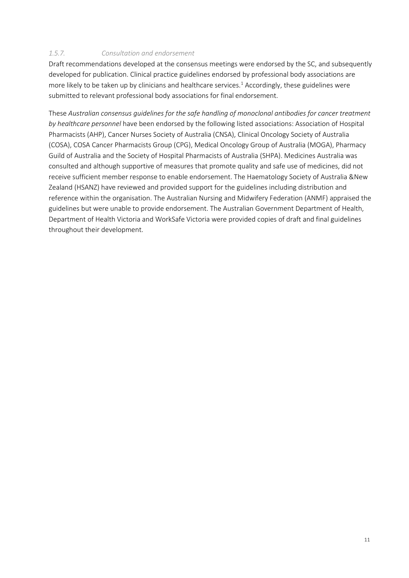#### *1.5.7. Consultation and endorsement*

Draft recommendations developed at the consensus meetings were endorsed by the SC, and subsequently developed for publication. Clinical practice guidelines endorsed by professional body associations are more likely to be taken up by clinicians and healthcare services.<sup>1</sup> Accordingly, these guidelines were submitted to relevant professional body associations for final endorsement.

These *Australian consensus guidelines for the safe handling of monoclonal antibodies for cancer treatment by healthcare personnel* have been endorsed by the following listed associations: Association of Hospital Pharmacists (AHP), Cancer Nurses Society of Australia (CNSA), Clinical Oncology Society of Australia (COSA), COSA Cancer Pharmacists Group (CPG), Medical Oncology Group of Australia (MOGA), Pharmacy Guild of Australia and the Society of Hospital Pharmacists of Australia (SHPA). Medicines Australia was consulted and although supportive of measures that promote quality and safe use of medicines, did not receive sufficient member response to enable endorsement. The Haematology Society of Australia &New Zealand (HSANZ) have reviewed and provided support for the guidelines including distribution and reference within the organisation. The Australian Nursing and Midwifery Federation (ANMF) appraised the guidelines but were unable to provide endorsement. The Australian Government Department of Health, Department of Health Victoria and WorkSafe Victoria were provided copies of draft and final guidelines throughout their development.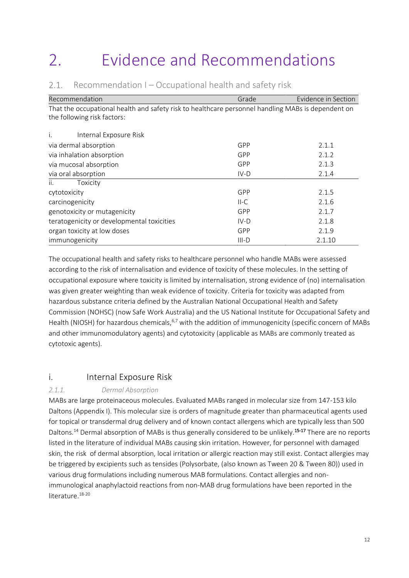# <span id="page-11-0"></span>2. Evidence and Recommendations

| Recommendation                                                                                     | Grade   | Evidence in Section |
|----------------------------------------------------------------------------------------------------|---------|---------------------|
| That the occupational health and safety risk to healthcare personnel handling MABs is dependent on |         |                     |
| the following risk factors:                                                                        |         |                     |
| Internal Exposure Risk<br>İ.                                                                       |         |                     |
| via dermal absorption                                                                              | GPP     | 2.1.1               |
| via inhalation absorption                                                                          | GPP     | 2.1.2               |
| via mucosal absorption                                                                             | GPP     | 2.1.3               |
| via oral absorption                                                                                | $IV-D$  | 2.1.4               |
| ii.<br>Toxicity                                                                                    |         |                     |
| cytotoxicity                                                                                       | GPP     | 2.1.5               |
| carcinogenicity                                                                                    | $II-C$  | 2.1.6               |
| genotoxicity or mutagenicity                                                                       | GPP     | 2.1.7               |
| teratogenicity or developmental toxicities                                                         | $IV-D$  | 2.1.8               |
| organ toxicity at low doses                                                                        | GPP     | 2.1.9               |
| immunogenicity                                                                                     | $III-D$ | 2.1.10              |

#### <span id="page-11-1"></span> $2.1.$ Recommendation I – Occupational health and safety risk

The occupational health and safety risks to healthcare personnel who handle MABs were assessed according to the risk of internalisation and evidence of toxicity of these molecules. In the setting of occupational exposure where toxicity is limited by internalisation, strong evidence of (no) internalisation was given greater weighting than weak evidence of toxicity. Criteria for toxicity was adapted from hazardous substance criteria defined by the Australian National Occupational Health and Safety Commission (NOHSC) (now Safe Work Australia) and the US National Institute for Occupational Safety and Health (NIOSH) for hazardous chemicals, <sup>6,7</sup> with the addition of immunogenicity (specific concern of MABs and other immunomodulatory agents) and cytotoxicity (applicable as MABs are commonly treated as cytotoxic agents).

### <span id="page-11-2"></span>i. Internal Exposure Risk

#### *2.1.1. Dermal Absorption*

MABs are large proteinaceous molecules. Evaluated MABs ranged in molecular size from 147-153 kilo Daltons (Appendix I). This molecular size is orders of magnitude greater than pharmaceutical agents used for topical or transdermal drug delivery and of known contact allergens which are typically less than 500 Daltons.<sup>14</sup> Dermal absorption of MABs is thus generally considered to be unlikely.<sup>15-17</sup> There are no reports listed in the literature of individual MABs causing skin irritation. However, for personnel with damaged skin, the risk of dermal absorption, local irritation or allergic reaction may still exist. Contact allergies may be triggered by excipients such as tensides (Polysorbate, (also known as Tween 20 & Tween 80)) used in various drug formulations including numerous MAB formulations. Contact allergies and nonimmunological anaphylactoid reactions from non-MAB drug formulations have been reported in the literature.<sup>18-20</sup>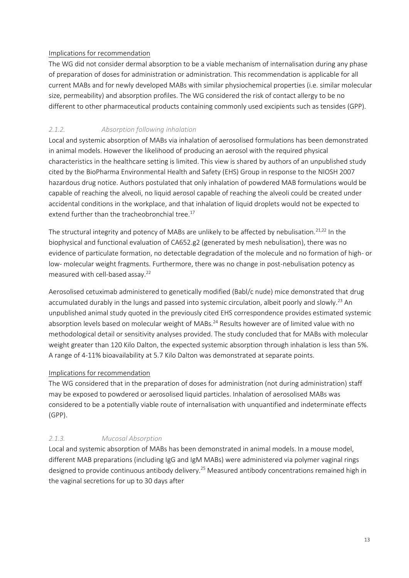#### Implications for recommendation

The WG did not consider dermal absorption to be a viable mechanism of internalisation during any phase of preparation of doses for administration or administration. This recommendation is applicable for all current MABs and for newly developed MABs with similar physiochemical properties (i.e. similar molecular size, permeability) and absorption profiles. The WG considered the risk of contact allergy to be no different to other pharmaceutical products containing commonly used excipients such as tensides (GPP).

#### *2.1.2. Absorption following inhalation*

Local and systemic absorption of MABs via inhalation of aerosolised formulations has been demonstrated in animal models. However the likelihood of producing an aerosol with the required physical characteristics in the healthcare setting is limited. This view is shared by authors of an unpublished study cited by the BioPharma Environmental Health and Safety (EHS) Group in response to the NIOSH 2007 hazardous drug notice. Authors postulated that only inhalation of powdered MAB formulations would be capable of reaching the alveoli, no liquid aerosol capable of reaching the alveoli could be created under accidental conditions in the workplace, and that inhalation of liquid droplets would not be expected to extend further than the tracheobronchial tree. $^{17}$ 

The structural integrity and potency of MABs are unlikely to be affected by nebulisation.<sup>21,22</sup> In the biophysical and functional evaluation of CA652.g2 (generated by mesh nebulisation), there was no evidence of particulate formation, no detectable degradation of the molecule and no formation of high- or low- molecular weight fragments. Furthermore, there was no change in post-nebulisation potency as measured with cell-based assay.<sup>22</sup>

Aerosolised cetuximab administered to genetically modified (Babl/c nude) mice demonstrated that drug accumulated durably in the lungs and passed into systemic circulation, albeit poorly and slowly.<sup>23</sup> An unpublished animal study quoted in the previously cited EHS correspondence provides estimated systemic absorption levels based on molecular weight of MABs.<sup>24</sup> Results however are of limited value with no methodological detail or sensitivity analyses provided. The study concluded that for MABs with molecular weight greater than 120 Kilo Dalton, the expected systemic absorption through inhalation is less than 5%. A range of 4-11% bioavailability at 5.7 Kilo Dalton was demonstrated at separate points.

#### Implications for recommendation

The WG considered that in the preparation of doses for administration (not during administration) staff may be exposed to powdered or aerosolised liquid particles. Inhalation of aerosolised MABs was considered to be a potentially viable route of internalisation with unquantified and indeterminate effects (GPP).

#### *2.1.3. Mucosal Absorption*

Local and systemic absorption of MABs has been demonstrated in animal models. In a mouse model, different MAB preparations (including IgG and IgM MABs) were administered via polymer vaginal rings designed to provide continuous antibody delivery.<sup>25</sup> Measured antibody concentrations remained high in the vaginal secretions for up to 30 days after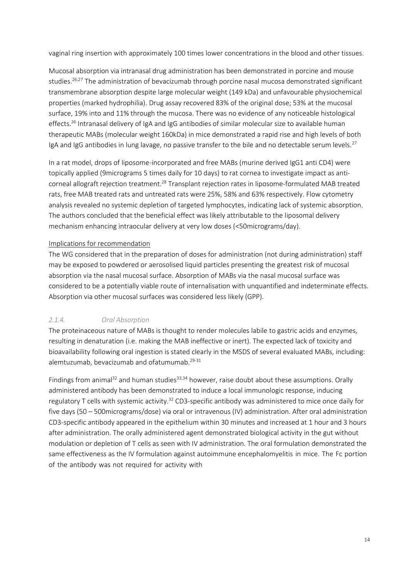vaginal ring insertion with approximately 100 times lower concentrations in the blood and other tissues.

Mucosal absorption via intranasal drug administration has been demonstrated in porcine and mouse studies.<sup>26,27</sup> The administration of bevacizumab through porcine nasal mucosa demonstrated significant transmembrane absorption despite large molecular weight (149 kDa) and unfavourable physiochemical properties (marked hydrophilia). Drug assay recovered 83% of the original dose; 53% at the mucosal surface, 19% into and 11% through the mucosa. There was no evidence of any noticeable histological effects.<sup>26</sup> Intranasal delivery of IgA and IgG antibodies of similar molecular size to available human therapeutic MABs (molecular weight 160kDa) in mice demonstrated a rapid rise and high levels of both IgA and IgG antibodies in lung lavage, no passive transfer to the bile and no detectable serum levels.<sup>27</sup>

In a rat model, drops of liposome-incorporated and free MABs (murine derived IgG1 anti CD4) were topically applied (9micrograms 5 times daily for 10 days) to rat cornea to investigate impact as anticorneal allograft rejection treatment.<sup>28</sup> Transplant rejection rates in liposome-formulated MAB treated rats, free MAB treated rats and untreated rats were 25%, 58% and 63% respectively. Flow cytometry analysis revealed no systemic depletion of targeted lymphocytes, indicating lack of systemic absorption. The authors concluded that the beneficial effect was likely attributable to the liposomal delivery mechanism enhancing intraocular delivery at very low doses (<50micrograms/day).

#### Implications for recommendation

The WG considered that in the preparation of doses for administration (not during administration) staff may be exposed to powdered or aerosolised liquid particles presenting the greatest risk of mucosal absorption via the nasal mucosal surface. Absorption of MABs via the nasal mucosal surface was considered to be a potentially viable route of internalisation with unquantified and indeterminate effects. Absorption via other mucosal surfaces was considered less likely (GPP).

#### *2.1.4. Oral Absorption*

The proteinaceous nature of MABs is thought to render molecules labile to gastric acids and enzymes, resulting in denaturation (i.e. making the MAB ineffective or inert). The expected lack of toxicity and bioavailability following oral ingestion is stated clearly in the MSDS of several evaluated MABs, including: alemtuzumab, bevacizumab and ofatumumab.<sup>29-31</sup>

Findings from animal<sup>32</sup> and human studies<sup>33,34</sup> however, raise doubt about these assumptions. Orally administered antibody has been demonstrated to induce a local immunologic response, inducing regulatory T cells with systemic activity.<sup>32</sup> CD3-specific antibody was administered to mice once daily for five days (50 – 500micrograms/dose) via oral or intravenous (IV) administration. After oral administration CD3-specific antibody appeared in the epithelium within 30 minutes and increased at 1 hour and 3 hours after administration. The orally administered agent demonstrated biological activity in the gut without modulation or depletion of T cells as seen with IV administration. The oral formulation demonstrated the same effectiveness as the IV formulation against autoimmune encephalomyelitis in mice. The Fc portion of the antibody was not required for activity with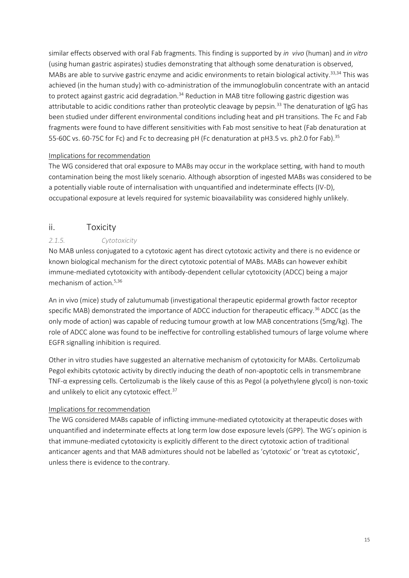similar effects observed with oral Fab fragments. This finding is supported by *in vivo* (human) and *in vitro*  (using human gastric aspirates) studies demonstrating that although some denaturation is observed, MABs are able to survive gastric enzyme and acidic environments to retain biological activity.<sup>33,34</sup> This was achieved (in the human study) with co-administration of the immunoglobulin concentrate with an antacid to protect against gastric acid degradation.<sup>34</sup> Reduction in MAB titre following gastric digestion was attributable to acidic conditions rather than proteolytic cleavage by pepsin.<sup>33</sup> The denaturation of IgG has been studied under different environmental conditions including heat and pH transitions. The Fc and Fab fragments were found to have different sensitivities with Fab most sensitive to heat (Fab denaturation at 55-60C vs. 60-75C for Fc) and Fc to decreasing pH (Fc denaturation at pH3.5 vs. ph2.0 for Fab).<sup>35</sup>

#### Implications for recommendation

The WG considered that oral exposure to MABs may occur in the workplace setting, with hand to mouth contamination being the most likely scenario. Although absorption of ingested MABs was considered to be a potentially viable route of internalisation with unquantified and indeterminate effects (IV-D), occupational exposure at levels required for systemic bioavailability was considered highly unlikely.

#### <span id="page-14-0"></span>ii. Toxicity

#### *2.1.5. Cytotoxicity*

No MAB unless conjugated to a cytotoxic agent has direct cytotoxic activity and there is no evidence or known biological mechanism for the direct cytotoxic potential of MABs. MABs can however exhibit immune-mediated cytotoxicity with antibody-dependent cellular cytotoxicity (ADCC) being a major mechanism of action.<sup>5,36</sup>

An in vivo (mice) study of zalutumumab (investigational therapeutic epidermal growth factor receptor specific MAB) demonstrated the importance of ADCC induction for therapeutic efficacy.<sup>36</sup> ADCC (as the only mode of action) was capable of reducing tumour growth at low MAB concentrations (5mg/kg). The role of ADCC alone was found to be ineffective for controlling established tumours of large volume where EGFR signalling inhibition is required.

Other in vitro studies have suggested an alternative mechanism of cytotoxicity for MABs. Certolizumab Pegol exhibits cytotoxic activity by directly inducing the death of non-apoptotic cells in transmembrane TNF-α expressing cells. Certolizumab is the likely cause of this as Pegol (a polyethylene glycol) is non-toxic and unlikely to elicit any cytotoxic effect.<sup>37</sup>

#### Implications for recommendation

The WG considered MABs capable of inflicting immune-mediated cytotoxicity at therapeutic doses with unquantified and indeterminate effects at long term low dose exposure levels (GPP). The WG's opinion is that immune-mediated cytotoxicity is explicitly different to the direct cytotoxic action of traditional anticancer agents and that MAB admixtures should not be labelled as 'cytotoxic' or 'treat as cytotoxic', unless there is evidence to the contrary.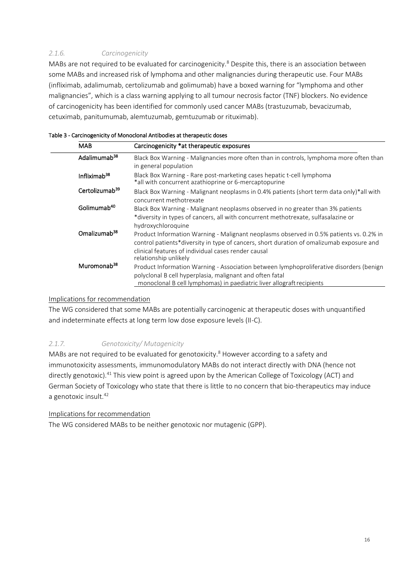#### *2.1.6. Carcinogenicity*

MABs are not required to be evaluated for carcinogenicity.<sup>8</sup> Despite this, there is an association between some MABs and increased risk of lymphoma and other malignancies during therapeutic use. Four MABs (infliximab, adalimumab, certolizumab and golimumab) have a boxed warning for "lymphoma and other malignancies", which is a class warning applying to all tumour necrosis factor (TNF) blockers. No evidence of carcinogenicity has been identified for commonly used cancer MABs (trastuzumab, bevacizumab, cetuximab, panitumumab, alemtuzumab, gemtuzumab or rituximab).

| <b>MAB</b>                 | Carcinogenicity *at therapeutic exposures                                                                                                                                                                                                                           |
|----------------------------|---------------------------------------------------------------------------------------------------------------------------------------------------------------------------------------------------------------------------------------------------------------------|
| Adalimumab <sup>38</sup>   | Black Box Warning - Malignancies more often than in controls, lymphoma more often than<br>in general population                                                                                                                                                     |
| Infliximab <sup>38</sup>   | Black Box Warning - Rare post-marketing cases hepatic t-cell lymphoma<br>*all with concurrent azathioprine or 6-mercaptopurine                                                                                                                                      |
| Certolizumab <sup>39</sup> | Black Box Warning - Malignant neoplasms in 0.4% patients (short term data only)*all with<br>concurrent methotrexate                                                                                                                                                 |
| Golimumab <sup>40</sup>    | Black Box Warning - Malignant neoplasms observed in no greater than 3% patients<br>*diversity in types of cancers, all with concurrent methotrexate, sulfasalazine or<br>hydroxychloroquine                                                                         |
| Omalizumab <sup>38</sup>   | Product Information Warning - Malignant neoplasms observed in 0.5% patients vs. 0.2% in<br>control patients*diversity in type of cancers, short duration of omalizumab exposure and<br>clinical features of individual cases render causal<br>relationship unlikely |
| Muromonab <sup>38</sup>    | Product Information Warning - Association between lymphoproliferative disorders (benign<br>polyclonal B cell hyperplasia, malignant and often fatal<br>monoclonal B cell lymphomas) in paediatric liver allograft recipients                                        |

#### Table 3 - Carcinogenicity of Monoclonal Antibodies at therapeutic doses

#### Implications for recommendation

The WG considered that some MABs are potentially carcinogenic at therapeutic doses with unquantified and indeterminate effects at long term low dose exposure levels (II-C).

#### *2.1.7. Genotoxicity/ Mutagenicity*

MABs are not required to be evaluated for genotoxicity.<sup>8</sup> However according to a safety and immunotoxicity assessments, immunomodulatory MABs do not interact directly with DNA (hence not directly genotoxic).<sup>41</sup> This view point is agreed upon by the American College of Toxicology (ACT) and German Society of Toxicology who state that there is little to no concern that bio-therapeutics may induce a genotoxic insult.<sup>42</sup>

#### Implications for recommendation

The WG considered MABs to be neither genotoxic nor mutagenic (GPP).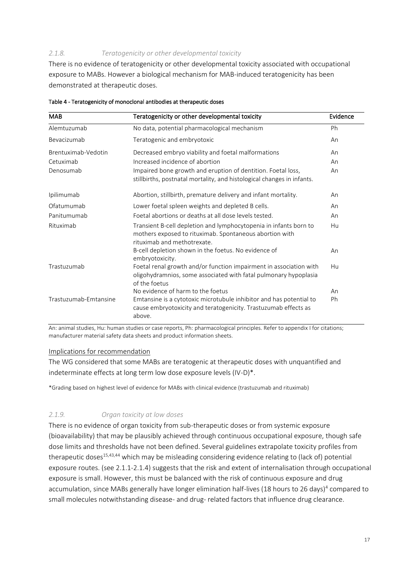#### *2.1.8. Teratogenicity or other developmental toxicity*

There is no evidence of teratogenicity or other developmental toxicity associated with occupational exposure to MABs. However a biological mechanism for MAB-induced teratogenicity has been demonstrated at therapeutic doses.

| <b>MAB</b>            | Teratogenicity or other developmental toxicity                                                                                                              | Evidence |
|-----------------------|-------------------------------------------------------------------------------------------------------------------------------------------------------------|----------|
| Alemtuzumab           | No data, potential pharmacological mechanism                                                                                                                | Ph       |
| Bevacizumab           | Teratogenic and embryotoxic                                                                                                                                 | An       |
| Brentuximab-Vedotin   | Decreased embryo viability and foetal malformations                                                                                                         | An       |
| Cetuximab             | Increased incidence of abortion                                                                                                                             | An       |
| Denosumab             | Impaired bone growth and eruption of dentition. Foetal loss,<br>stillbirths, postnatal mortality, and histological changes in infants.                      | An       |
| Ipilimumab            | Abortion, stillbirth, premature delivery and infant mortality.                                                                                              | An       |
| Ofatumumab            | Lower foetal spleen weights and depleted B cells.                                                                                                           | An       |
| Panitumumab           | Foetal abortions or deaths at all dose levels tested.                                                                                                       | An       |
| Rituximab             | Transient B-cell depletion and lymphocytopenia in infants born to<br>mothers exposed to rituximab. Spontaneous abortion with<br>rituximab and methotrexate. | Hu       |
|                       | B-cell depletion shown in the foetus. No evidence of<br>embryotoxicity.                                                                                     | An       |
| Trastuzumab           | Foetal renal growth and/or function impairment in association with<br>oligohydramnios, some associated with fatal pulmonary hypoplasia<br>of the foetus     | Hu       |
|                       | No evidence of harm to the foetus                                                                                                                           | An       |
| Trastuzumab-Emtansine | Emtansine is a cytotoxic microtubule inhibitor and has potential to<br>cause embryotoxicity and teratogenicity. Trastuzumab effects as<br>above.            | Ph       |

Table 4 - Teratogenicity of monoclonal antibodies at therapeutic doses

An: animal studies, Hu: human studies or case reports, Ph: pharmacological principles. Refer to appendix I for citations; manufacturer material safety data sheets and product information sheets.

#### Implications for recommendation

The WG considered that some MABs are teratogenic at therapeutic doses with unquantified and indeterminate effects at long term low dose exposure levels (IV-D)\*.

\*Grading based on highest level of evidence for MABs with clinical evidence (trastuzumab and rituximab)

#### *2.1.9. Organ toxicity at low doses*

There is no evidence of organ toxicity from sub-therapeutic doses or from systemic exposure (bioavailability) that may be plausibly achieved through continuous occupational exposure, though safe dose limits and thresholds have not been defined. Several guidelines extrapolate toxicity profiles from therapeutic doses<sup>15,43,44</sup> which may be misleading considering evidence relating to (lack of) potential exposure routes. (see 2.1.1-2.1.4) suggests that the risk and extent of internalisation through occupational exposure is small. However, this must be balanced with the risk of continuous exposure and drug accumulation, since MABs generally have longer elimination half-lives (18 hours to 26 days)<sup>4</sup> compared to small molecules notwithstanding disease- and drug- related factors that influence drug clearance.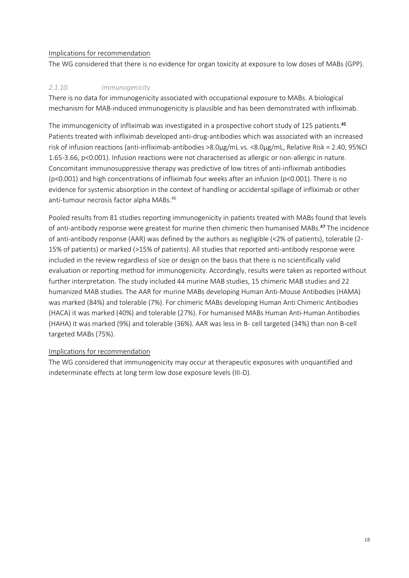#### Implications for recommendation

The WG considered that there is no evidence for organ toxicity at exposure to low doses of MABs (GPP).

#### *2.1.10. Immunogenicity*

There is no data for immunogenicity associated with occupational exposure to MABs. A biological mechanism for MAB-induced immunogenicity is plausible and has been demonstrated with infliximab.

The immunogenicity of infliximab was investigated in a prospective cohort study of 125 patients.<sup>45</sup> Patients treated with infliximab developed anti-drug-antibodies which was associated with an increased risk of infusion reactions (anti-infliximab-antibodies >8.0μg/mL vs. <8.0μg/mL, Relative Risk = 2.40, 95%CI 1.65-3.66, p<0.001). Infusion reactions were not characterised as allergic or non-allergic in nature. Concomitant immunosuppressive therapy was predictive of low titres of anti-infliximab antibodies (p<0.001) and high concentrations of infliximab four weeks after an infusion (p<0.001). There is no evidence for systemic absorption in the context of handling or accidental spillage of infliximab or other anti-tumour necrosis factor alpha MABs.<sup>46</sup>

Pooled results from 81 studies reporting immunogenicity in patients treated with MABs found that levels of anti-antibody response were greatest for murine then chimeric then humanised MABs.<sup>47</sup> The incidence of anti-antibody response (AAR) was defined by the authors as negligible (<2% of patients), tolerable (2- 15% of patients) or marked (>15% of patients). All studies that reported anti-antibody response were included in the review regardless of size or design on the basis that there is no scientifically valid evaluation or reporting method for immunogenicity. Accordingly, results were taken as reported without further interpretation. The study included 44 murine MAB studies, 15 chimeric MAB studies and 22 humanized MAB studies. The AAR for murine MABs developing Human Anti-Mouse Antibodies (HAMA) was marked (84%) and tolerable (7%). For chimeric MABs developing Human Anti Chimeric Antibodies (HACA) it was marked (40%) and tolerable (27%). For humanised MABs Human Anti-Human Antibodies (HAHA) it was marked (9%) and tolerable (36%). AAR was less in B- cell targeted (34%) than non B-cell targeted MABs(75%).

#### Implications for recommendation

The WG considered that immunogenicity may occur at therapeutic exposures with unquantified and indeterminate effects at long term low dose exposure levels (III-D).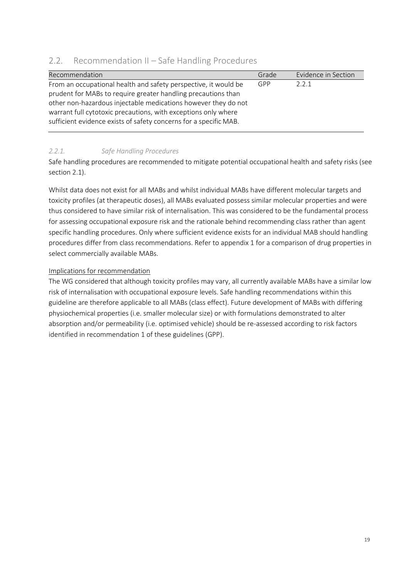| Recommendation                                                    | Grade | Evidence in Section |
|-------------------------------------------------------------------|-------|---------------------|
| From an occupational health and safety perspective, it would be   | GPP   | 2.2.1               |
| prudent for MABs to require greater handling precautions than     |       |                     |
| other non-hazardous injectable medications however they do not    |       |                     |
| warrant full cytotoxic precautions, with exceptions only where    |       |                     |
| sufficient evidence exists of safety concerns for a specific MAB. |       |                     |

### <span id="page-18-0"></span>2.2. Recommendation II – Safe Handling Procedures

#### *2.2.1. Safe Handling Procedures*

Safe handling procedures are recommended to mitigate potential occupational health and safety risks (see section 2.1).

Whilst data does not exist for all MABs and whilst individual MABs have different molecular targets and toxicity profiles (at therapeutic doses), all MABs evaluated possess similar molecular properties and were thus considered to have similar risk of internalisation. This was considered to be the fundamental process for assessing occupational exposure risk and the rationale behind recommending class rather than agent specific handling procedures. Only where sufficient evidence exists for an individual MAB should handling procedures differ from class recommendations. Refer to appendix 1 for a comparison of drug properties in select commercially available MABs.

#### Implications for recommendation

The WG considered that although toxicity profiles may vary, all currently available MABs have a similar low risk of internalisation with occupational exposure levels. Safe handling recommendations within this guideline are therefore applicable to all MABs (class effect). Future development of MABs with differing physiochemical properties (i.e. smaller molecular size) or with formulations demonstrated to alter absorption and/or permeability (i.e. optimised vehicle) should be re-assessed according to risk factors identified in recommendation 1 of these guidelines (GPP).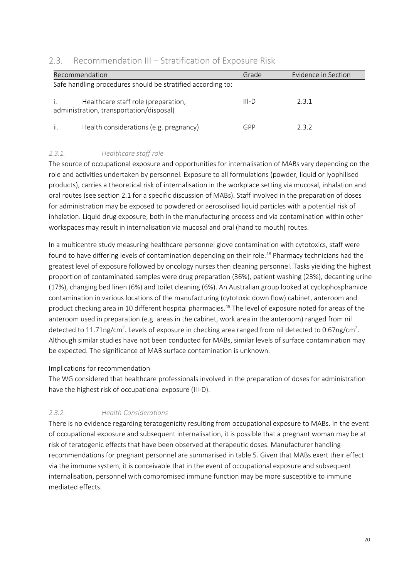|                                                             | Recommendation                                                                  | Grade   | Evidence in Section |
|-------------------------------------------------------------|---------------------------------------------------------------------------------|---------|---------------------|
| Safe handling procedures should be stratified according to: |                                                                                 |         |                     |
|                                                             | Healthcare staff role (preparation,<br>administration, transportation/disposal) | $III-D$ | 2.3.1               |
| ii.                                                         | Health considerations (e.g. pregnancy)                                          | GPP     | 2.3.2               |

### <span id="page-19-0"></span>2.3. Recommendation III – Stratification of Exposure Risk

#### *2.3.1. Healthcare staff role*

The source of occupational exposure and opportunities for internalisation of MABs vary depending on the role and activities undertaken by personnel. Exposure to all formulations (powder, liquid or lyophilised products), carries a theoretical risk of internalisation in the workplace setting via mucosal, inhalation and oral routes (see section 2.1 for a specific discussion of MABs). Staff involved in the preparation of doses for administration may be exposed to powdered or aerosolised liquid particles with a potential risk of inhalation. Liquid drug exposure, both in the manufacturing process and via contamination within other workspaces may result in internalisation via mucosal and oral (hand to mouth) routes.

In a multicentre study measuring healthcare personnel glove contamination with cytotoxics, staff were found to have differing levels of contamination depending on their role.<sup>48</sup> Pharmacy technicians had the greatest level of exposure followed by oncology nurses then cleaning personnel. Tasks yielding the highest proportion of contaminated samples were drug preparation (36%), patient washing (23%), decanting urine (17%), changing bed linen (6%) and toilet cleaning (6%). An Australian group looked at cyclophosphamide contamination in various locations of the manufacturing (cytotoxic down flow) cabinet, anteroom and product checking area in 10 different hospital pharmacies.<sup>49</sup> The level of exposure noted for areas of the anteroom used in preparation (e.g. areas in the cabinet, work area in the anteroom) ranged from nil detected to 11.71ng/cm<sup>2</sup>. Levels of exposure in checking area ranged from nil detected to 0.67ng/cm<sup>2</sup>. Although similar studies have not been conducted for MABs, similar levels of surface contamination may be expected. The significance of MAB surface contamination is unknown.

#### Implications for recommendation

The WG considered that healthcare professionals involved in the preparation of doses for administration have the highest risk of occupational exposure (III-D).

#### *2.3.2. Health Considerations*

There is no evidence regarding teratogenicity resulting from occupational exposure to MABs. In the event of occupational exposure and subsequent internalisation, it is possible that a pregnant woman may be at risk of teratogenic effects that have been observed at therapeutic doses. Manufacturer handling recommendations for pregnant personnel are summarised in table 5. Given that MABs exert their effect via the immune system, it is conceivable that in the event of occupational exposure and subsequent internalisation, personnel with compromised immune function may be more susceptible to immune mediated effects.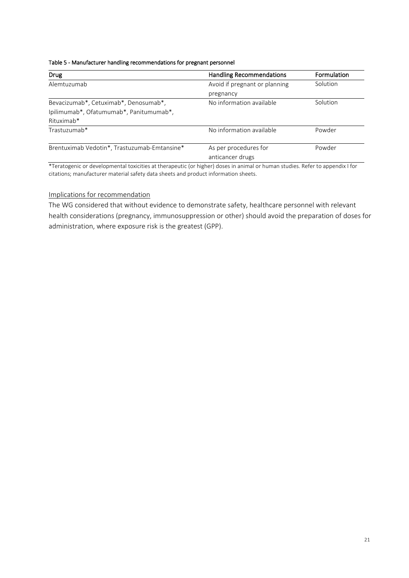| Table 5 - Manufacturer handling recommendations for pregnant personnel |  |  |
|------------------------------------------------------------------------|--|--|
|------------------------------------------------------------------------|--|--|

| Drug                                         | <b>Handling Recommendations</b> | Formulation |
|----------------------------------------------|---------------------------------|-------------|
| Alemtuzumab                                  | Avoid if pregnant or planning   | Solution    |
|                                              | pregnancy                       |             |
| Bevacizumab*, Cetuximab*, Denosumab*,        | No information available        | Solution    |
| Ipilimumab*, Ofatumumab*, Panitumumab*,      |                                 |             |
| Rituximab*                                   |                                 |             |
| Trastuzumab*                                 | No information available        | Powder      |
| Brentuximab Vedotin*, Trastuzumab-Emtansine* | As per procedures for           | Powder      |
|                                              | anticancer drugs                |             |

\*Teratogenic or developmental toxicities at therapeutic (or higher) doses in animal or human studies. Refer to appendix I for citations; manufacturer material safety data sheets and product information sheets.

#### Implications for recommendation

The WG considered that without evidence to demonstrate safety, healthcare personnel with relevant health considerations (pregnancy, immunosuppression or other) should avoid the preparation of doses for administration, where exposure risk is the greatest (GPP).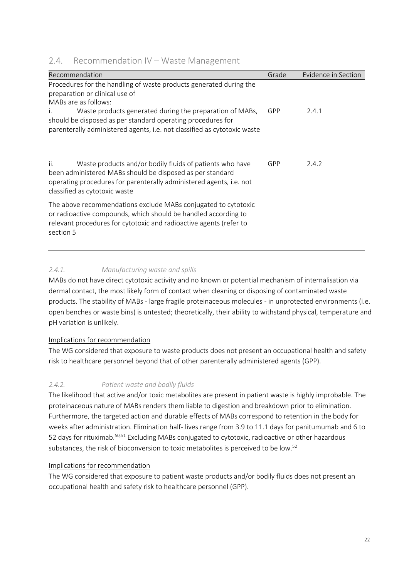### <span id="page-21-0"></span>2.4. Recommendation IV – Waste Management

| Recommendation                                                                                                                                                                                                                                                                                                                            | Grade | Evidence in Section |
|-------------------------------------------------------------------------------------------------------------------------------------------------------------------------------------------------------------------------------------------------------------------------------------------------------------------------------------------|-------|---------------------|
| Procedures for the handling of waste products generated during the<br>preparation or clinical use of<br>MABs are as follows:<br>Waste products generated during the preparation of MABs,<br>İ.<br>should be disposed as per standard operating procedures for<br>parenterally administered agents, i.e. not classified as cytotoxic waste | GPP   | 2.4.1               |
| Waste products and/or bodily fluids of patients who have<br>ii.<br>been administered MABs should be disposed as per standard<br>operating procedures for parenterally administered agents, i.e. not<br>classified as cytotoxic waste                                                                                                      | GPP   | 2.4.2               |
| The above recommendations exclude MABs conjugated to cytotoxic<br>or radioactive compounds, which should be handled according to<br>relevant procedures for cytotoxic and radioactive agents (refer to<br>section 5                                                                                                                       |       |                     |

#### *2.4.1. Manufacturing waste and spills*

MABs do not have direct cytotoxic activity and no known or potential mechanism of internalisation via dermal contact, the most likely form of contact when cleaning or disposing of contaminated waste products. The stability of MABs - large fragile proteinaceous molecules - in unprotected environments (i.e. open benches or waste bins) is untested; theoretically, their ability to withstand physical, temperature and pH variation is unlikely.

#### Implications for recommendation

The WG considered that exposure to waste products does not present an occupational health and safety risk to healthcare personnel beyond that of other parenterally administered agents (GPP).

#### *2.4.2. Patient waste and bodily fluids*

The likelihood that active and/or toxic metabolites are present in patient waste is highly improbable. The proteinaceous nature of MABs renders them liable to digestion and breakdown prior to elimination. Furthermore, the targeted action and durable effects of MABs correspond to retention in the body for weeks after administration. Elimination half- lives range from 3.9 to 11.1 days for panitumumab and 6 to 52 days for rituximab.<sup>50,51</sup> Excluding MABs conjugated to cytotoxic, radioactive or other hazardous substances, the risk of bioconversion to toxic metabolites is perceived to be low.<sup>52</sup>

#### Implications for recommendation

The WG considered that exposure to patient waste products and/or bodily fluids does not present an occupational health and safety risk to healthcare personnel (GPP).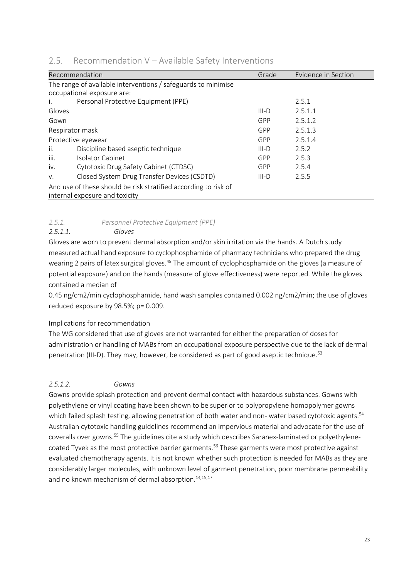|                    | Recommendation                                                  | Grade   | Evidence in Section |
|--------------------|-----------------------------------------------------------------|---------|---------------------|
|                    | The range of available interventions / safeguards to minimise   |         |                     |
|                    | occupational exposure are:                                      |         |                     |
| İ.                 | Personal Protective Equipment (PPE)                             |         | 2.5.1               |
| Gloves             |                                                                 | $III-D$ | 2.5.1.1             |
| Gown               |                                                                 | GPP     | 2.5.1.2             |
|                    | Respirator mask                                                 | GPP     | 2.5.1.3             |
| Protective eyewear |                                                                 | GPP     | 2.5.1.4             |
| ii.                | Discipline based aseptic technique                              | $III-D$ | 2.5.2               |
| iii.               | <b>Isolator Cabinet</b>                                         | GPP     | 2.5.3               |
| iv.                | Cytotoxic Drug Safety Cabinet (CTDSC)                           | GPP     | 2.5.4               |
| v.                 | Closed System Drug Transfer Devices (CSDTD)                     | $III-D$ | 2.5.5               |
|                    | And use of these should be risk stratified according to risk of |         |                     |
|                    | internal exposure and toxicity                                  |         |                     |

#### <span id="page-22-0"></span> $2.5.$ Recommendation V – Available Safety Interventions

#### *2.5.1. Personnel Protective Equipment (PPE)*

#### *2.5.1.1. Gloves*

Gloves are worn to prevent dermal absorption and/or skin irritation via the hands. A Dutch study measured actual hand exposure to cyclophosphamide of pharmacy technicians who prepared the drug wearing 2 pairs of latex surgical gloves.<sup>48</sup> The amount of cyclophosphamide on the gloves (a measure of potential exposure) and on the hands (measure of glove effectiveness) were reported. While the gloves contained a median of

0.45 ng/cm2/min cyclophosphamide, hand wash samples contained 0.002 ng/cm2/min; the use of gloves reduced exposure by 98.5%; p= 0.009.

#### Implications for recommendation

The WG considered that use of gloves are not warranted for either the preparation of doses for administration or handling of MABs from an occupational exposure perspective due to the lack of dermal penetration (III-D). They may, however, be considered as part of good aseptic technique.<sup>53</sup>

#### *2.5.1.2. Gowns*

Gowns provide splash protection and prevent dermal contact with hazardous substances. Gowns with polyethylene or vinyl coating have been shown to be superior to polypropylene homopolymer gowns which failed splash testing, allowing penetration of both water and non- water based cytotoxic agents.<sup>54</sup> Australian cytotoxic handling guidelines recommend an impervious material and advocate for the use of coveralls over gowns.<sup>55</sup> The guidelines cite a study which describes Saranex-laminated or polyethylenecoated Tyvek as the most protective barrier garments.<sup>56</sup> These garments were most protective against evaluated chemotherapy agents. It is not known whether such protection is needed for MABs as they are considerably larger molecules, with unknown level of garment penetration, poor membrane permeability and no known mechanism of dermal absorption.<sup>14,15,17</sup>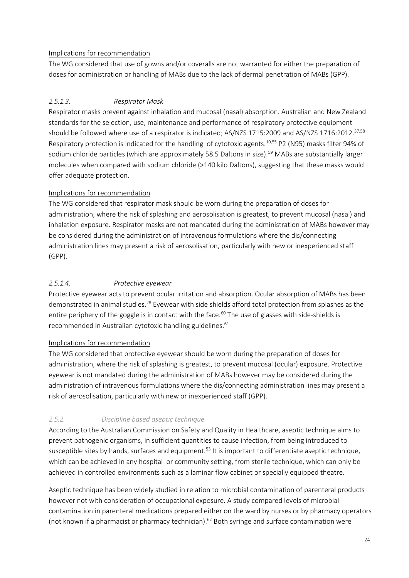#### Implications for recommendation

The WG considered that use of gowns and/or coveralls are not warranted for either the preparation of doses for administration or handling of MABs due to the lack of dermal penetration of MABs (GPP).

#### *2.5.1.3. Respirator Mask*

Respirator masks prevent against inhalation and mucosal (nasal) absorption. Australian and New Zealand standards for the selection, use, maintenance and performance of respiratory protective equipment should be followed where use of a respirator is indicated; AS/NZS 1715:2009 and AS/NZS 1716:2012.<sup>57,58</sup> Respiratory protection is indicated for the handling of cytotoxic agents.<sup>10,55</sup> P2 (N95) masks filter 94% of sodium chloride particles (which are approximately 58.5 Daltons in size).<sup>59</sup> MABs are substantially larger molecules when compared with sodium chloride (>140 kilo Daltons), suggesting that these masks would offer adequate protection.

#### Implications for recommendation

The WG considered that respirator mask should be worn during the preparation of doses for administration, where the risk of splashing and aerosolisation is greatest, to prevent mucosal (nasal) and inhalation exposure. Respirator masks are not mandated during the administration of MABs however may be considered during the administration of intravenous formulations where the dis/connecting administration lines may present a risk of aerosolisation, particularly with new or inexperienced staff (GPP).

#### *2.5.1.4. Protective eyewear*

Protective eyewear acts to prevent ocular irritation and absorption. Ocular absorption of MABs has been demonstrated in animal studies.<sup>28</sup> Eyewear with side shields afford total protection from splashes as the entire periphery of the goggle is in contact with the face.<sup>60</sup> The use of glasses with side-shields is recommended in Australian cytotoxic handling guidelines. $61$ 

#### Implications for recommendation

The WG considered that protective eyewear should be worn during the preparation of doses for administration, where the risk of splashing is greatest, to prevent mucosal (ocular) exposure. Protective eyewear is not mandated during the administration of MABs however may be considered during the administration of intravenous formulations where the dis/connecting administration lines may present a risk of aerosolisation, particularly with new or inexperienced staff (GPP).

### *2.5.2. Discipline based aseptic technique*

According to the Australian Commission on Safety and Quality in Healthcare, aseptic technique aims to prevent pathogenic organisms, in sufficient quantities to cause infection, from being introduced to susceptible sites by hands, surfaces and equipment.<sup>53</sup> It is important to differentiate aseptic technique, which can be achieved in any hospital or community setting, from sterile technique, which can only be achieved in controlled environments such as a laminar flow cabinet or specially equipped theatre.

Aseptic technique has been widely studied in relation to microbial contamination of parenteral products however not with consideration of occupational exposure. A study compared levels of microbial contamination in parenteral medications prepared either on the ward by nurses or by pharmacy operators (not known if a pharmacist or pharmacy technician).<sup>62</sup> Both syringe and surface contamination were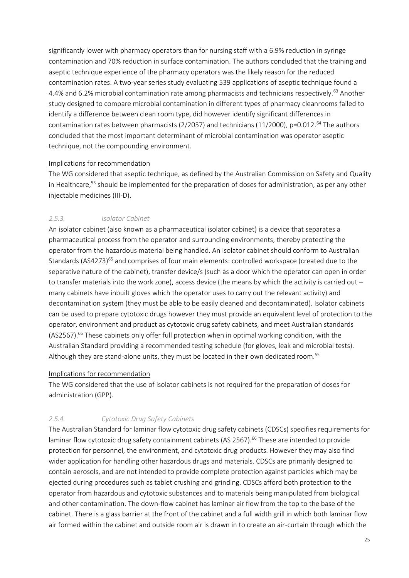significantly lower with pharmacy operators than for nursing staff with a 6.9% reduction in syringe contamination and 70% reduction in surface contamination. The authors concluded that the training and aseptic technique experience of the pharmacy operators was the likely reason for the reduced contamination rates. A two-year series study evaluating 539 applications of aseptic technique found a 4.4% and 6.2% microbial contamination rate among pharmacists and technicians respectively.<sup>63</sup> Another study designed to compare microbial contamination in different types of pharmacy cleanrooms failed to identify a difference between clean room type, did however identify significant differences in contamination rates between pharmacists (2/2057) and technicians (11/2000), p=0.012.<sup>64</sup> The authors concluded that the most important determinant of microbial contamination was operator aseptic technique, not the compounding environment.

#### Implications for recommendation

The WG considered that aseptic technique, as defined by the Australian Commission on Safety and Quality in Healthcare,<sup>53</sup> should be implemented for the preparation of doses for administration, as per any other injectable medicines (III-D).

#### *2.5.3. Isolator Cabinet*

An isolator cabinet (also known as a pharmaceutical isolator cabinet) is a device that separates a pharmaceutical process from the operator and surrounding environments, thereby protecting the operator from the hazardous material being handled. An isolator cabinet should conform to Australian Standards  $(AS4273)^{65}$  and comprises of four main elements: controlled workspace (created due to the separative nature of the cabinet), transfer device/s (such as a door which the operator can open in order to transfer materials into the work zone), access device (the means by which the activity is carried out  $$ many cabinets have inbuilt gloves which the operator uses to carry out the relevant activity) and decontamination system (they must be able to be easily cleaned and decontaminated). Isolator cabinets can be used to prepare cytotoxic drugs however they must provide an equivalent level of protection to the operator, environment and product as cytotoxic drug safety cabinets, and meet Australian standards (AS2567).<sup>66</sup> These cabinets only offer full protection when in optimal working condition, with the Australian Standard providing a recommended testing schedule (for gloves, leak and microbial tests). Although they are stand-alone units, they must be located in their own dedicated room.<sup>55</sup>

#### Implications for recommendation

The WG considered that the use of isolator cabinets is not required for the preparation of doses for administration (GPP).

#### *2.5.4. Cytotoxic Drug Safety Cabinets*

The Australian Standard for laminar flow cytotoxic drug safety cabinets (CDSCs) specifies requirements for laminar flow cytotoxic drug safety containment cabinets (AS 2567).<sup>66</sup> These are intended to provide protection for personnel, the environment, and cytotoxic drug products. However they may also find wider application for handling other hazardous drugs and materials. CDSCs are primarily designed to contain aerosols, and are not intended to provide complete protection against particles which may be ejected during procedures such as tablet crushing and grinding. CDSCs afford both protection to the operator from hazardous and cytotoxic substances and to materials being manipulated from biological and other contamination. The down-flow cabinet has laminar air flow from the top to the base of the cabinet. There is a glass barrier at the front of the cabinet and a full width grill in which both laminar flow air formed within the cabinet and outside room air is drawn in to create an air-curtain through which the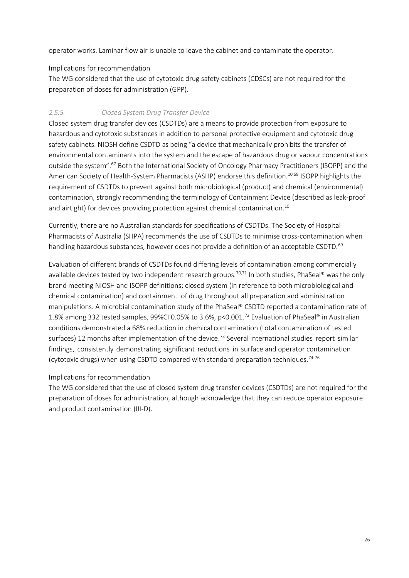operator works. Laminar flow air is unable to leave the cabinet and contaminate the operator.

#### Implications for recommendation

The WG considered that the use of cytotoxic drug safety cabinets (CDSCs) are not required for the preparation of doses for administration (GPP).

#### *2.5.5. Closed System Drug Transfer Device*

Closed system drug transfer devices (CSDTDs) are a means to provide protection from exposure to hazardous and cytotoxic substances in addition to personal protective equipment and cytotoxic drug safety cabinets. NIOSH define CSDTD as being "a device that mechanically prohibits the transfer of environmental contaminants into the system and the escape of hazardous drug or vapour concentrations outside the system".<sup>67</sup> Both the International Society of Oncology Pharmacy Practitioners (ISOPP) and the American Society of Health-System Pharmacists (ASHP) endorse this definition.<sup>10,68</sup> ISOPP highlights the requirement of CSDTDs to prevent against both microbiological (product) and chemical (environmental) contamination, strongly recommending the terminology of Containment Device (described as leak-proof and airtight) for devices providing protection against chemical contamination.<sup>10</sup>

Currently, there are no Australian standards for specifications of CSDTDs. The Society of Hospital Pharmacists of Australia (SHPA) recommends the use of CSDTDs to minimise cross-contamination when handling hazardous substances, however does not provide a definition of an acceptable CSDTD.<sup>69</sup>

Evaluation of different brands of CSDTDs found differing levels of contamination among commercially available devices tested by two independent research groups.<sup>70,71</sup> In both studies, PhaSeal® was the only brand meeting NIOSH and ISOPP definitions; closed system (in reference to both microbiological and chemical contamination) and containment of drug throughout all preparation and administration manipulations. A microbial contamination study of the PhaSeal® CSDTD reported a contamination rate of 1.8% among 332 tested samples, 99%CI 0.05% to 3.6%, p<0.001.<sup>72</sup> Evaluation of PhaSeal® in Australian conditions demonstrated a 68% reduction in chemical contamination (total contamination of tested surfaces) 12 months after implementation of the device.<sup>73</sup> Several international studies report similar findings, consistently demonstrating significant reductions in surface and operator contamination (cytotoxic drugs) when using CSDTD compared with standard preparation techniques.<sup>74-76</sup>

#### Implications for recommendation

The WG considered that the use of closed system drug transfer devices (CSDTDs) are not required for the preparation of doses for administration, although acknowledge that they can reduce operator exposure and product contamination (III-D).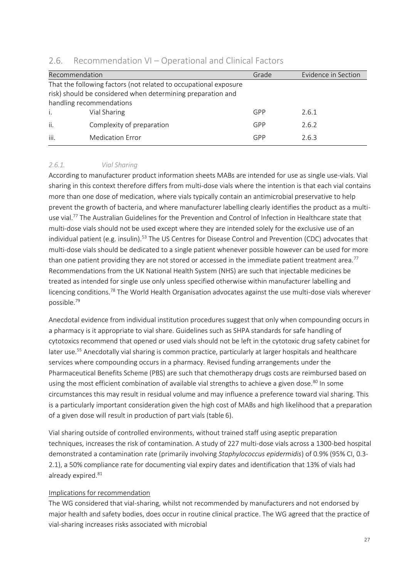| Recommendation |                                                                                                                                                             | Grade | Evidence in Section |
|----------------|-------------------------------------------------------------------------------------------------------------------------------------------------------------|-------|---------------------|
|                | That the following factors (not related to occupational exposure<br>risk) should be considered when determining preparation and<br>handling recommendations |       |                     |
| i.             | Vial Sharing                                                                                                                                                | GPP   | 2.6.1               |
| ii.            | Complexity of preparation                                                                                                                                   | GPP   | 2.6.2               |
| iii.           | <b>Medication Error</b>                                                                                                                                     | GPP   | 2.6.3               |

#### <span id="page-26-0"></span> $2.6.$ Recommendation VI – Operational and Clinical Factors

#### *2.6.1. Vial Sharing*

According to manufacturer product information sheets MABs are intended for use as single use-vials. Vial sharing in this context therefore differs from multi-dose vials where the intention is that each vial contains more than one dose of medication, where vials typically contain an antimicrobial preservative to help prevent the growth of bacteria, and where manufacturer labelling clearly identifies the product as a multiuse vial.<sup>77</sup> The Australian Guidelines for the Prevention and Control of Infection in Healthcare state that multi-dose vials should not be used except where they are intended solely for the exclusive use of an individual patient (e.g. insulin).<sup>53</sup> The US Centres for Disease Control and Prevention (CDC) advocates that multi-dose vials should be dedicated to a single patient whenever possible however can be used for more than one patient providing they are not stored or accessed in the immediate patient treatment area.<sup>77</sup> Recommendations from the UK National Health System (NHS) are such that injectable medicines be treated as intended for single use only unless specified otherwise within manufacturer labelling and licencing conditions.<sup>78</sup> The World Health Organisation advocates against the use multi-dose vials wherever possible.<sup>79</sup>

Anecdotal evidence from individual institution procedures suggest that only when compounding occurs in a pharmacy is it appropriate to vial share. Guidelines such as SHPA standards for safe handling of cytotoxics recommend that opened or used vials should not be left in the cytotoxic drug safety cabinet for later use.<sup>55</sup> Anecdotally vial sharing is common practice, particularly at larger hospitals and healthcare services where compounding occurs in a pharmacy. Revised funding arrangements under the Pharmaceutical Benefits Scheme (PBS) are such that chemotherapy drugs costs are reimbursed based on using the most efficient combination of available vial strengths to achieve a given dose.<sup>80</sup> In some circumstances this may result in residual volume and may influence a preference toward vial sharing. This is a particularly important consideration given the high cost of MABs and high likelihood that a preparation of a given dose will result in production of part vials (table 6).

Vial sharing outside of controlled environments, without trained staff using aseptic preparation techniques, increases the risk of contamination. A study of 227 multi-dose vials across a 1300-bed hospital demonstrated a contamination rate (primarily involving *Staphylococcus epidermidis*) of 0.9% (95% CI, 0.3- 2.1), a 50% compliance rate for documenting vial expiry dates and identification that 13% of vials had already expired.<sup>81</sup>

#### Implications for recommendation

The WG considered that vial-sharing, whilst not recommended by manufacturers and not endorsed by major health and safety bodies, does occur in routine clinical practice. The WG agreed that the practice of vial-sharing increases risks associated with microbial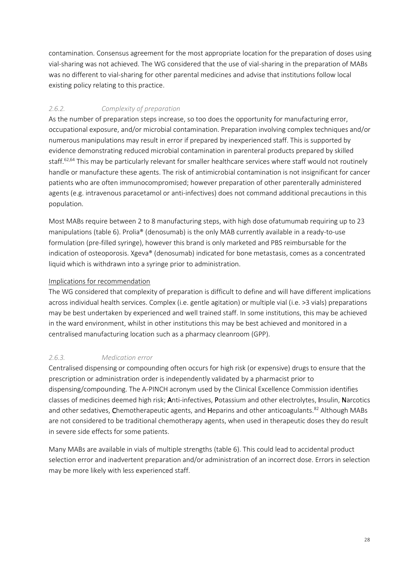contamination. Consensus agreement for the most appropriate location for the preparation of doses using vial-sharing was not achieved. The WG considered that the use of vial-sharing in the preparation of MABs was no different to vial-sharing for other parental medicines and advise that institutions follow local existing policy relating to this practice.

### *2.6.2. Complexity of preparation*

As the number of preparation steps increase, so too does the opportunity for manufacturing error, occupational exposure, and/or microbial contamination. Preparation involving complex techniques and/or numerous manipulations may result in error if prepared by inexperienced staff. This is supported by evidence demonstrating reduced microbial contamination in parenteral products prepared by skilled staff.<sup>62,64</sup> This may be particularly relevant for smaller healthcare services where staff would not routinely handle or manufacture these agents. The risk of antimicrobial contamination is not insignificant for cancer patients who are often immunocompromised; however preparation of other parenterally administered agents (e.g. intravenous paracetamol or anti-infectives) does not command additional precautions in this population.

Most MABs require between 2 to 8 manufacturing steps, with high dose ofatumumab requiring up to 23 manipulations (table 6). Prolia® (denosumab) is the only MAB currently available in a ready-to-use formulation (pre-filled syringe), however this brand is only marketed and PBS reimbursable for the indication of osteoporosis. Xgeva® (denosumab) indicated for bone metastasis, comes as a concentrated liquid which is withdrawn into a syringe prior to administration.

#### Implications for recommendation

The WG considered that complexity of preparation is difficult to define and will have different implications across individual health services. Complex (i.e. gentle agitation) or multiple vial (i.e. >3 vials) preparations may be best undertaken by experienced and well trained staff. In some institutions, this may be achieved in the ward environment, whilst in other institutions this may be best achieved and monitored in a centralised manufacturing location such as a pharmacy cleanroom (GPP).

### *2.6.3. Medication error*

Centralised dispensing or compounding often occurs for high risk (or expensive) drugs to ensure that the prescription or administration order is independently validated by a pharmacist prior to dispensing/compounding. The A-PINCH acronym used by the Clinical Excellence Commission identifies classes of medicines deemed high risk; Anti-infectives, Potassium and other electrolytes, Insulin, Narcotics and other sedatives, Chemotherapeutic agents, and Heparins and other anticoagulants.<sup>82</sup> Although MABs are not considered to be traditional chemotherapy agents, when used in therapeutic doses they do result in severe side effects for some patients.

Many MABs are available in vials of multiple strengths (table 6). This could lead to accidental product selection error and inadvertent preparation and/or administration of an incorrect dose. Errors in selection may be more likely with less experienced staff.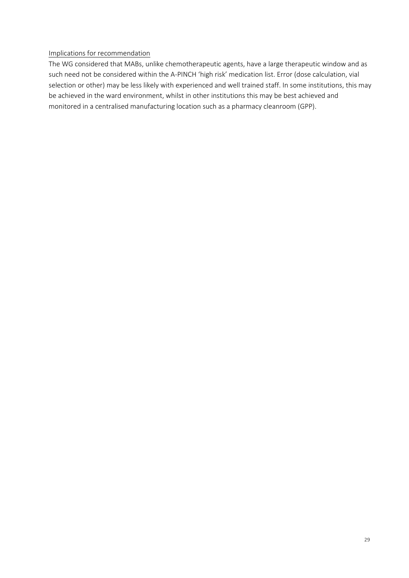#### Implications for recommendation

The WG considered that MABs, unlike chemotherapeutic agents, have a large therapeutic window and as such need not be considered within the A-PINCH 'high risk' medication list. Error (dose calculation, vial selection or other) may be less likely with experienced and well trained staff. In some institutions, this may be achieved in the ward environment, whilst in other institutions this may be best achieved and monitored in a centralised manufacturing location such as a pharmacy cleanroom (GPP).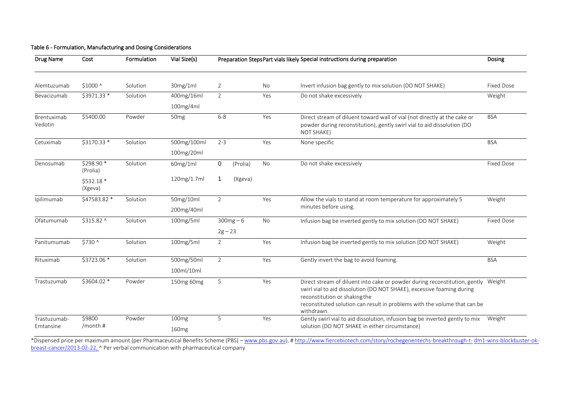| <b>Drug Name</b><br>Cost  |                        | Formulation | Vial Size(s)      | Preparation StepsPart vials likely Special instructions during preparation |           |                                                                                                                                                                                                                                                                                         |                   |
|---------------------------|------------------------|-------------|-------------------|----------------------------------------------------------------------------|-----------|-----------------------------------------------------------------------------------------------------------------------------------------------------------------------------------------------------------------------------------------------------------------------------------------|-------------------|
| Alemtuzumab               | \$1000 ^               | Solution    | 30mg/1ml          | $\overline{2}$                                                             | No        | Invert infusion bag gently to mix solution (DO NOT SHAKE)                                                                                                                                                                                                                               | <b>Fixed Dose</b> |
| Bevacizumab               | \$3971.33 *            | Solution    | 400mg/16ml        | $\overline{2}$                                                             | Yes       | Do not shake excessively                                                                                                                                                                                                                                                                | Weight            |
|                           |                        |             | 100mg/4ml         |                                                                            |           |                                                                                                                                                                                                                                                                                         |                   |
| Brentuximab<br>Vedotin    | \$5400.00              | Powder      | 50 <sub>mg</sub>  | $6 - 8$                                                                    | Yes       | Direct stream of diluent toward wall of vial (not directly at the cake or<br>powder during reconstitution), gently swirl vial to aid dissolution (DO<br>NOT SHAKE)                                                                                                                      | <b>BSA</b>        |
| Cetuximab                 | \$3170.33 *            | Solution    | 500mg/100ml       | $2 - 3$                                                                    | Yes       | None specific                                                                                                                                                                                                                                                                           | <b>BSA</b>        |
|                           |                        |             | 100mg/20ml        |                                                                            |           |                                                                                                                                                                                                                                                                                         |                   |
| Denosumab                 | \$298.90 *<br>(Prolia) | Solution    | 60mg/1ml          | 0<br>(Prolia)                                                              | No        | Do not shake excessively                                                                                                                                                                                                                                                                | Fixed Dose        |
|                           | \$532.18 *<br>(Xgeva)  |             | 120mg/1.7ml       | (Xgeva)<br>1                                                               |           |                                                                                                                                                                                                                                                                                         |                   |
| Ipilimumab                | \$47583.82 *           | Solution    | 50mg/10ml         | $\overline{2}$                                                             | Yes       | Allow the vials to stand at room temperature for approximately 5                                                                                                                                                                                                                        | Weight            |
|                           |                        |             | 200mg/40ml        |                                                                            |           | minutes before using.                                                                                                                                                                                                                                                                   |                   |
| Ofatumumab                | \$315.82 ^             | Solution    | 100mg/5ml         | $300mg - 6$                                                                | <b>No</b> | Infusion bag be inverted gently to mix solution (DO NOT SHAKE)                                                                                                                                                                                                                          | <b>Fixed Dose</b> |
|                           |                        |             |                   | $2g - 23$                                                                  |           |                                                                                                                                                                                                                                                                                         |                   |
| Panitumumab               | \$730 ^                | Solution    | 100mg/5ml         | $\overline{2}$                                                             | Yes       | Infusion bag be inverted gently to mix solution (DO NOT SHAKE)                                                                                                                                                                                                                          | Weight            |
| Rituximab                 | \$3723.06 *            | Solution    | 500mg/50ml        | $\overline{2}$                                                             | Yes       | Gently invert the bag to avoid foaming.                                                                                                                                                                                                                                                 | <b>BSA</b>        |
|                           |                        |             | 100ml/10ml        |                                                                            |           |                                                                                                                                                                                                                                                                                         |                   |
| Trastuzumab               | \$3604.02 *            | Powder      | 150mg 60mg        | 5                                                                          | Yes       | Direct stream of diluent into cake or powder during reconstitution, gently Weight<br>swirl vial to aid dissolution (DO NOT SHAKE), excessive foaming during<br>reconstitution or shaking the<br>reconstituted solution can result in problems with the volume that can be<br>withdrawn. |                   |
| Trastuzumab-<br>Emtansine | \$9800<br>/month #     | Powder      | 100 <sub>mg</sub> | 5                                                                          | Yes       | Gently swirl vial to aid dissolution, infusion bag be inverted gently to mix<br>solution (DO NOT SHAKE in either circumstance)                                                                                                                                                          | Weight            |
|                           |                        |             | 160 <sub>mg</sub> |                                                                            |           |                                                                                                                                                                                                                                                                                         |                   |

#### Table 6 - Formulation, Manufacturing and Dosing Considerations

\*Dispensed price per maximum amount (per Pharmaceutical Benefits Scheme (PBS) – [www.pbs.gov.au\)](http://www.pbs.gov.au/), [# http://www.fiercebiotech.com/story/rochegenentechs-breakthrough-t-](http://www.fiercebiotech.com/story/rochegenentechs-breakthrough-t-dm1-wins-blockbuster-ok-breast-cancer/2013-02-22) [dm1-wins-blockbuster-ok](http://www.fiercebiotech.com/story/rochegenentechs-breakthrough-t-dm1-wins-blockbuster-ok-breast-cancer/2013-02-22)[breast-cancer/2013-02-22,](http://www.fiercebiotech.com/story/rochegenentechs-breakthrough-t-dm1-wins-blockbuster-ok-breast-cancer/2013-02-22) ^ Per verbal communication with pharmaceutical company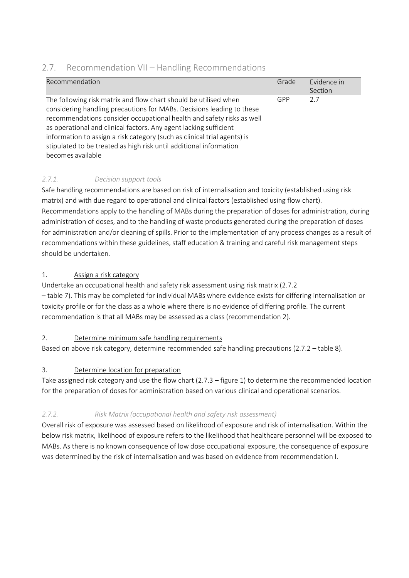### <span id="page-30-0"></span>2.7. Recommendation VII – Handling Recommendations

| Recommendation                                                                                                                                                                                                                                                                                                                                                                                                                                                 | Grade | Fvidence in<br>Section |
|----------------------------------------------------------------------------------------------------------------------------------------------------------------------------------------------------------------------------------------------------------------------------------------------------------------------------------------------------------------------------------------------------------------------------------------------------------------|-------|------------------------|
| The following risk matrix and flow chart should be utilised when<br>considering handling precautions for MABs. Decisions leading to these<br>recommendations consider occupational health and safety risks as well<br>as operational and clinical factors. Any agent lacking sufficient<br>information to assign a risk category (such as clinical trial agents) is<br>stipulated to be treated as high risk until additional information<br>becomes available | GPP   | 2.7                    |

### *2.7.1. Decision support tools*

Safe handling recommendations are based on risk of internalisation and toxicity (established using risk matrix) and with due regard to operational and clinical factors (established using flow chart). Recommendations apply to the handling of MABs during the preparation of doses for administration, during administration of doses, and to the handling of waste products generated during the preparation of doses for administration and/or cleaning of spills. Prior to the implementation of any process changes as a result of recommendations within these guidelines, staff education & training and careful risk management steps should be undertaken.

#### 1. Assign a risk category

Undertake an occupational health and safety risk assessment using risk matrix (2.7.2 – table 7). This may be completed for individual MABs where evidence exists for differing internalisation or toxicity profile or for the class as a whole where there is no evidence of differing profile. The current recommendation is that all MABs may be assessed as a class (recommendation 2).

### 2. Determine minimum safe handling requirements

Based on above risk category, determine recommended safe handling precautions (2.7.2 – table 8).

### 3. Determine location for preparation

Take assigned risk category and use the flow chart (2.7.3 – figure 1) to determine the recommended location for the preparation of doses for administration based on various clinical and operational scenarios.

### *2.7.2. Risk Matrix (occupational health and safety risk assessment)*

Overall risk of exposure was assessed based on likelihood of exposure and risk of internalisation. Within the below risk matrix, likelihood of exposure refers to the likelihood that healthcare personnel will be exposed to MABs. As there is no known consequence of low dose occupational exposure, the consequence of exposure was determined by the risk of internalisation and was based on evidence from recommendation I.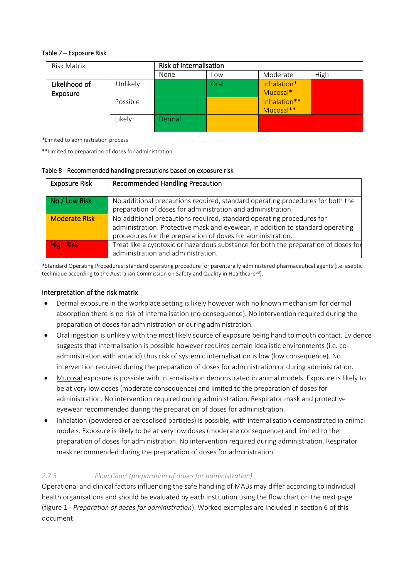#### Table 7 – Exposure Risk

| Risk Matrix   |          | Risk of internalisation |      |              |      |  |  |
|---------------|----------|-------------------------|------|--------------|------|--|--|
|               |          | None                    | Low  | Moderate     | High |  |  |
| Likelihood of | Unlikely |                         | Oral | Inhalation*  |      |  |  |
| Exposure      |          |                         |      | Mucosal*     |      |  |  |
| Possible      |          |                         |      | Inhalation** |      |  |  |
|               |          |                         |      | Mucosal**    |      |  |  |
|               | Likely   | Dermal                  |      |              |      |  |  |
|               |          |                         |      |              |      |  |  |

\*Limited to administration process

\*\*Limited to preparation of doses for administration

#### Table 8 - Recommended handling precautions based on exposure risk

| <b>Exposure Risk</b> | <b>Recommended Handling Precaution</b>                                              |
|----------------------|-------------------------------------------------------------------------------------|
|                      |                                                                                     |
| No / Low Risk        | No additional precautions required, standard operating procedures for both the      |
|                      | preparation of doses for administration and administration.                         |
| <b>Moderate Risk</b> | No additional precautions required, standard operating procedures for               |
|                      | administration. Protective mask and eyewear, in addition to standard operating      |
|                      | procedures for the preparation of doses for administration.                         |
| <b>High Risk</b>     | Treat like a cytotoxic or hazardous substance for both the preparation of doses for |
|                      | administration and administration.                                                  |

\*Standard Operating Procedures: standard operating procedure for parenterally administered pharmaceutical agents (i.e. aseptic technique according to the Australian Commission on Safety and Quality in Healthcare<sup>53</sup>).

#### Interpretation of the risk matrix

- Dermal exposure in the workplace setting is likely however with no known mechanism for dermal absorption there is no risk of internalisation (no consequence). No intervention required during the preparation of doses for administration or during administration.
- Oral ingestion is unlikely with the most likely source of exposure being hand to mouth contact. Evidence suggests that internalisation is possible however requires certain idealistic environments (i.e. coadministration with antacid) thus risk of systemic internalisation is low (low consequence). No intervention required during the preparation of doses for administration or during administration.
- Mucosal exposure is possible with internalisation demonstrated in animal models. Exposure is likely to be at very low doses (moderate consequence) and limited to the preparation of doses for administration. No intervention required during administration. Respirator mask and protective eyewear recommended during the preparation of doses for administration.
- Inhalation (powdered or aerosolised particles) is possible, with internalisation demonstrated in animal models. Exposure is likely to be at very low doses (moderate consequence) and limited to the preparation of doses for administration. No intervention required during administration. Respirator mask recommended during the preparation of doses for administration.

#### *2.7.3. Flow Chart (preparation of doses for administration)*

Operational and clinical factors influencing the safe handling of MABs may differ according to individual health organisations and should be evaluated by each institution using the flow chart on the next page (figure 1 - *Preparation of doses for administration*). Worked examples are included in section 6 of this document.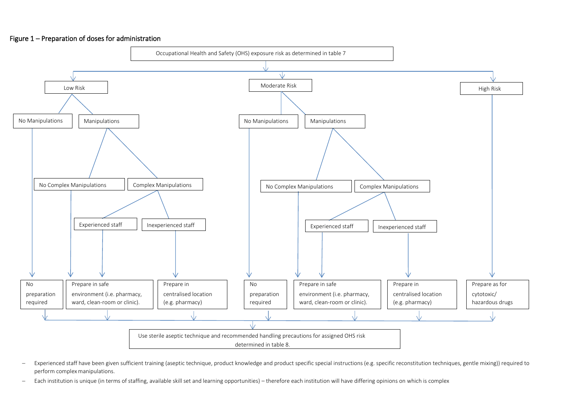#### Figure 1 – Preparation of doses for administration



- − Experienced staff have been given sufficient training (aseptic technique, product knowledge and product specific special instructions (e.g. specific reconstitution techniques, gentle mixing)) required to perform complex manipulations.
- − Each institution is unique (in terms of staffing, available skill set and learning opportunities) therefore each institution will have differing opinions on which is complex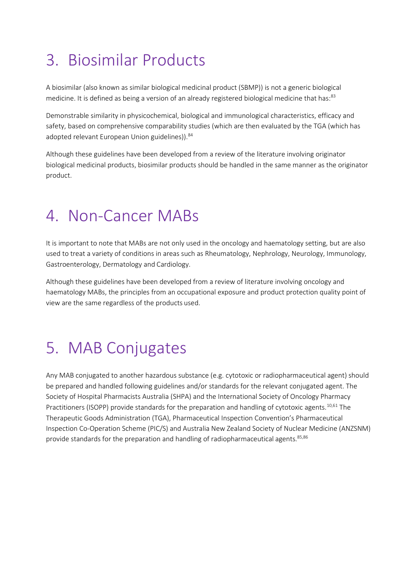## <span id="page-33-0"></span>3. Biosimilar Products

A biosimilar (also known as similar biological medicinal product (SBMP)) is not a generic biological medicine. It is defined as being a version of an already registered biological medicine that has:<sup>83</sup>

Demonstrable similarity in physicochemical, biological and immunological characteristics, efficacy and safety, based on comprehensive comparability studies (which are then evaluated by the TGA (which has adopted relevant European Union guidelines)).<sup>84</sup>

Although these guidelines have been developed from a review of the literature involving originator biological medicinal products, biosimilar products should be handled in the same manner as the originator product.

## <span id="page-33-1"></span>4. Non-Cancer MABs

It is important to note that MABs are not only used in the oncology and haematology setting, but are also used to treat a variety of conditions in areas such as Rheumatology, Nephrology, Neurology, Immunology, Gastroenterology, Dermatology and Cardiology.

Although these guidelines have been developed from a review of literature involving oncology and haematology MABs, the principles from an occupational exposure and product protection quality point of view are the same regardless of the products used.

### <span id="page-33-2"></span>5. MAB Conjugates

Any MAB conjugated to another hazardous substance (e.g. cytotoxic or radiopharmaceutical agent) should be prepared and handled following guidelines and/or standards for the relevant conjugated agent. The Society of Hospital Pharmacists Australia (SHPA) and the International Society of Oncology Pharmacy Practitioners (ISOPP) provide standards for the preparation and handling of cytotoxic agents.<sup>10,61</sup> The Therapeutic Goods Administration (TGA), Pharmaceutical Inspection Convention's Pharmaceutical Inspection Co-Operation Scheme (PIC/S) and Australia New Zealand Society of Nuclear Medicine (ANZSNM) provide standards for the preparation and handling of radiopharmaceutical agents.<sup>85,86</sup>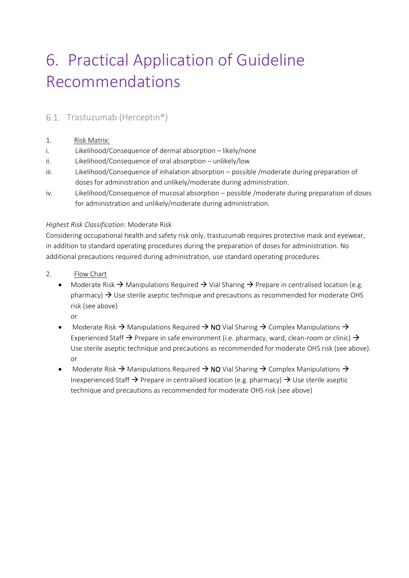## <span id="page-34-0"></span>6. Practical Application of Guideline Recommendations

### <span id="page-34-1"></span>6.1. Trastuzumab (Herceptin®)

#### 1. Risk Matrix:

- i. Likelihood/Consequence of dermal absorption likely/none
- ii. Likelihood/Consequence of oral absorption unlikely/low
- iii. Likelihood/Consequence of inhalation absorption possible /moderate during preparation of doses for administration and unlikely/moderate during administration.
- iv. Likelihood/Consequence of mucosal absorption possible /moderate during preparation of doses for administration and unlikely/moderate during administration.

#### *Highest Risk Classification*: Moderate Risk

Considering occupational health and safety risk only, trastuzumab requires protective mask and eyewear, in addition to standard operating procedures during the preparation of doses for administration. No additional precautions required during administration, use standard operating procedures.

- 2. Flow Chart
	- Moderate Risk  $\rightarrow$  Manipulations Required  $\rightarrow$  Vial Sharing  $\rightarrow$  Prepare in centralised location (e.g. pharmacy)  $\rightarrow$  Use sterile aseptic technique and precautions as recommended for moderate OHS risk (see above)
		- or
	- Moderate Risk  $\rightarrow$  Manipulations Required  $\rightarrow$  NO Vial Sharing  $\rightarrow$  Complex Manipulations  $\rightarrow$ Experienced Staff  $\rightarrow$  Prepare in safe environment (i.e. pharmacy, ward, clean-room or clinic)  $\rightarrow$ Use sterile aseptic technique and precautions as recommended for moderate OHS risk (see above). or
	- Moderate Risk  $\rightarrow$  Manipulations Required  $\rightarrow$  NO Vial Sharing  $\rightarrow$  Complex Manipulations  $\rightarrow$ Inexperienced Staff  $\rightarrow$  Prepare in centralised location (e.g. pharmacy)  $\rightarrow$  Use sterile aseptic technique and precautions as recommended for moderate OHS risk (see above)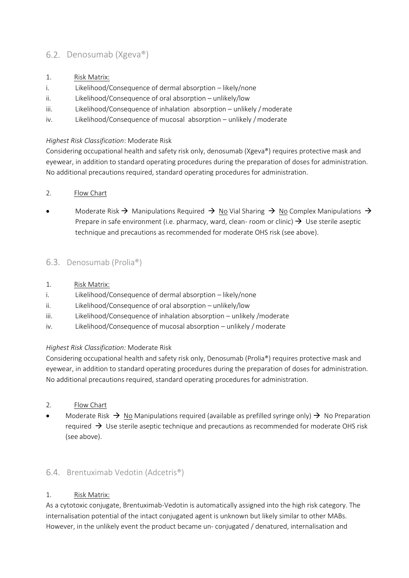### <span id="page-35-0"></span>6.2. Denosumab (Xgeva®)

- 1. Risk Matrix:
- i. Likelihood/Consequence of dermal absorption likely/none
- ii. Likelihood/Consequence of oral absorption unlikely/low
- iii. Likelihood/Consequence of inhalation absorption unlikely / moderate
- iv. Likelihood/Consequence of mucosal absorption unlikely /moderate

#### *Highest Risk Classification*: Moderate Risk

Considering occupational health and safety risk only, denosumab (Xgeva®) requires protective mask and eyewear, in addition to standard operating procedures during the preparation of doses for administration. No additional precautions required, standard operating procedures for administration.

#### 2. Flow Chart

Moderate Risk  $\rightarrow$  Manipulations Required  $\rightarrow$  No Vial Sharing  $\rightarrow$  No Complex Manipulations  $\rightarrow$ Prepare in safe environment (i.e. pharmacy, ward, clean- room or clinic)  $\rightarrow$  Use sterile aseptic technique and precautions as recommended for moderate OHS risk (see above).

#### <span id="page-35-1"></span>6.3. Denosumab (Prolia®)

- 1. Risk Matrix:
- i. Likelihood/Consequence of dermal absorption likely/none
- ii. Likelihood/Consequence of oral absorption unlikely/low
- iii. Likelihood/Consequence of inhalation absorption unlikely /moderate
- iv. Likelihood/Consequence of mucosal absorption unlikely / moderate

#### *Highest Risk Classification:* Moderate Risk

Considering occupational health and safety risk only, Denosumab (Prolia®) requires protective mask and eyewear, in addition to standard operating procedures during the preparation of doses for administration. No additional precautions required, standard operating procedures for administration.

- 2. Flow Chart
- Moderate Risk  $\rightarrow$  No Manipulations required (available as prefilled syringe only)  $\rightarrow$  No Preparation required  $\rightarrow$  Use sterile aseptic technique and precautions as recommended for moderate OHS risk (see above).

### <span id="page-35-2"></span>6.4. Brentuximab Vedotin (Adcetris®)

#### 1. Risk Matrix:

As a cytotoxic conjugate, Brentuximab-Vedotin is automatically assigned into the high risk category. The internalisation potential of the intact conjugated agent is unknown but likely similar to other MABs. However, in the unlikely event the product became un- conjugated / denatured, internalisation and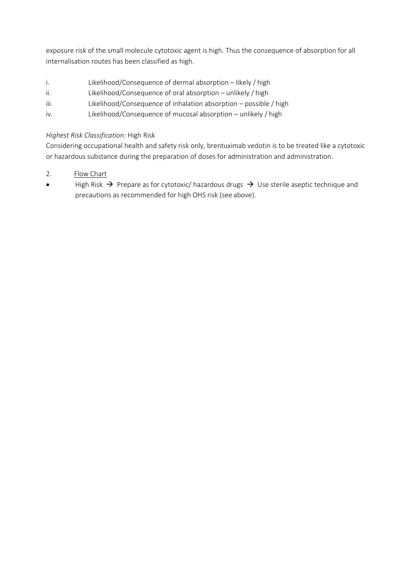exposure risk of the small molecule cytotoxic agent is high. Thus the consequence of absorption for all internalisation routes has been classified as high.

- i. Likelihood/Consequence of dermal absorption likely / high
- ii. Likelihood/Consequence of oral absorption unlikely / high
- iii. Likelihood/Consequence of inhalation absorption possible / high
- iv. Likelihood/Consequence of mucosal absorption unlikely / high

#### *Highest Risk Classification:* High Risk

Considering occupational health and safety risk only, brentuximab vedotin is to be treated like a cytotoxic or hazardous substance during the preparation of doses for administration and administration.

- 2. Flow Chart
- High Risk  $\rightarrow$  Prepare as for cytotoxic/ hazardous drugs  $\rightarrow$  Use sterile aseptic technique and precautions as recommended for high OHS risk (see above).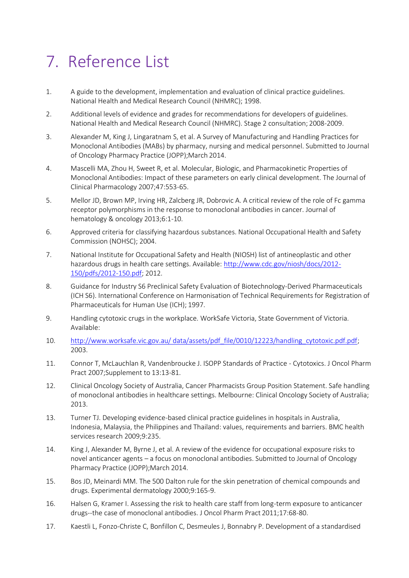## <span id="page-37-0"></span>7. Reference List

- 1. A guide to the development, implementation and evaluation of clinical practice guidelines. National Health and Medical Research Council (NHMRC); 1998.
- 2. Additional levels of evidence and grades for recommendations for developers of guidelines. National Health and Medical Research Council (NHMRC). Stage 2 consultation; 2008-2009.
- 3. Alexander M, King J, Lingaratnam S, et al. A Survey of Manufacturing and Handling Practices for Monoclonal Antibodies (MABs) by pharmacy, nursing and medical personnel. Submitted to Journal of Oncology Pharmacy Practice (JOPP);March 2014.
- 4. Mascelli MA, Zhou H, Sweet R, et al. Molecular, Biologic, and Pharmacokinetic Properties of Monoclonal Antibodies: Impact of these parameters on early clinical development. The Journal of Clinical Pharmacology 2007;47:553-65.
- 5. Mellor JD, Brown MP, Irving HR, Zalcberg JR, Dobrovic A. A critical review of the role of Fc gamma receptor polymorphisms in the response to monoclonal antibodies in cancer. Journal of hematology & oncology 2013;6:1-10.
- 6. Approved criteria for classifying hazardous substances. National Occupational Health and Safety Commission (NOHSC); 2004.
- 7. National Institute for Occupational Safety and Health (NIOSH) list of antineoplastic and other hazardous drugs in health care settings. Available: [http://www.cdc.gov/niosh/docs/2012-](http://www.cdc.gov/niosh/docs/2012-150/pdfs/2012-150.pdf) [150/pdfs/2012-150.pdf;](http://www.cdc.gov/niosh/docs/2012-150/pdfs/2012-150.pdf) 2012.
- 8. Guidance for Industry S6 Preclinical Safety Evaluation of Biotechnology-Derived Pharmaceuticals (ICH S6). International Conference on Harmonisation of Technical Requirements for Registration of Pharmaceuticals for Human Use (ICH); 1997.
- 9. Handling cytotoxic crugs in the workplace. WorkSafe Victoria, State Government of Victoria. Available:
- 10. http://www.worksafe.vic.gov.au/ data/assets/pdf file/0010/12223/handling\_cytotoxic.pdf.pdf; 2003.
- 11. Connor T, McLauchlan R, Vandenbroucke J. ISOPP Standards of Practice Cytotoxics. J Oncol Pharm Pract 2007;Supplement to 13:13-81.
- 12. Clinical Oncology Society of Australia, Cancer Pharmacists Group Position Statement. Safe handling of monoclonal antibodies in healthcare settings. Melbourne: Clinical Oncology Society of Australia; 2013.
- 13. Turner TJ. Developing evidence-based clinical practice guidelines in hospitals in Australia, Indonesia, Malaysia, the Philippines and Thailand: values, requirements and barriers. BMC health services research 2009;9:235.
- 14. King J, Alexander M, Byrne J, et al. A review of the evidence for occupational exposure risks to novel anticancer agents – a focus on monoclonal antibodies. Submitted to Journal of Oncology Pharmacy Practice (JOPP);March 2014.
- 15. Bos JD, Meinardi MM. The 500 Dalton rule for the skin penetration of chemical compounds and drugs. Experimental dermatology 2000;9:165-9.
- 16. Halsen G, Kramer I. Assessing the risk to health care staff from long-term exposure to anticancer drugs--the case of monoclonal antibodies. J Oncol Pharm Pract 2011;17:68-80.
- 17. Kaestli L, Fonzo-Christe C, Bonfillon C, Desmeules J, Bonnabry P. Development of a standardised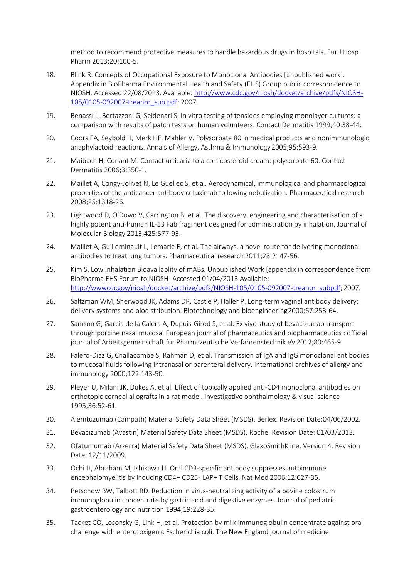method to recommend protective measures to handle hazardous drugs in hospitals. Eur J Hosp Pharm 2013;20:100-5.

- 18. Blink R. Concepts of Occupational Exposure to Monoclonal Antibodies [unpublished work]. Appendix in BioPharma Environmental Health and Safety (EHS) Group public correspondence to NIOSH. Accessed 22/08/2013. Available: [http://www.cdc.gov/niosh/docket/archive/pdfs/NIOSH-](http://www.cdc.gov/niosh/docket/archive/pdfs/NIOSH-105/0105-092007-treanor_sub.pdf)[105/0105-092007-treanor\\_sub.pdf; 2](http://www.cdc.gov/niosh/docket/archive/pdfs/NIOSH-105/0105-092007-treanor_sub.pdf)007.
- 19. Benassi L, Bertazzoni G, Seidenari S. In vitro testing of tensides employing monolayer cultures: a comparison with results of patch tests on human volunteers. Contact Dermatitis 1999;40:38-44.
- 20. Coors EA, Seybold H, Merk HF, Mahler V. Polysorbate 80 in medical products and nonimmunologic anaphylactoid reactions. Annals of Allergy, Asthma & Immunology2005;95:593-9.
- 21. Maibach H, Conant M. Contact urticaria to a corticosteroid cream: polysorbate 60. Contact Dermatitis 2006;3:350-1.
- 22. Maillet A, Congy-Jolivet N, Le Guellec S, et al. Aerodynamical, immunological and pharmacological properties of the anticancer antibody cetuximab following nebulization. Pharmaceutical research 2008;25:1318-26.
- 23. Lightwood D, O'Dowd V, Carrington B, et al. The discovery, engineering and characterisation of a highly potent anti-human IL-13 Fab fragment designed for administration by inhalation. Journal of Molecular Biology 2013;425:577-93.
- 24. Maillet A, Guilleminault L, Lemarie E, et al. The airways, a novel route for delivering monoclonal antibodies to treat lung tumors. Pharmaceutical research 2011;28:2147-56.
- 25. Kim S. Low Inhalation Bioavailablity of mABs. Unpublished Work [appendix in correspondence from BioPharma EHS Forum to NIOSH] Accessed 01/04/2013 Available[:](http://wwwcdcgov/niosh/docket/archive/pdfs/NIOSH-105/0105-092007-treanor_subpdf) [http://wwwcdcgov/niosh/docket/archive/pdfs/NIOSH-105/0105-092007-treanor\\_subpdf;](http://wwwcdcgov/niosh/docket/archive/pdfs/NIOSH-105/0105-092007-treanor_subpdf) 2007.
- 26. Saltzman WM, Sherwood JK, Adams DR, Castle P, Haller P. Long-term vaginal antibody delivery: delivery systems and biodistribution. Biotechnology and bioengineering2000;67:253-64.
- 27. Samson G, Garcia de la Calera A, Dupuis-Girod S, et al. Ex vivo study of bevacizumab transport through porcine nasal mucosa. European journal of pharmaceutics and biopharmaceutics : official journal of Arbeitsgemeinschaft fur Pharmazeutische Verfahrenstechnik eV2012;80:465-9.
- 28. Falero-Diaz G, Challacombe S, Rahman D, et al. Transmission of IgA and IgG monoclonal antibodies to mucosal fluids following intranasal or parenteral delivery. International archives of allergy and immunology 2000;122:143-50.
- 29. Pleyer U, Milani JK, Dukes A, et al. Effect of topically applied anti-CD4 monoclonal antibodies on orthotopic corneal allografts in a rat model. Investigative ophthalmology & visual science 1995;36:52-61.
- 30. Alemtuzumab (Campath) Material Safety Data Sheet (MSDS). Berlex. Revision Date:04/06/2002.
- 31. Bevacizumab (Avastin) Material Safety Data Sheet (MSDS). Roche. Revision Date: 01/03/2013.
- 32. Ofatumumab (Arzerra) Material Safety Data Sheet (MSDS). GlaxoSmithKline. Version 4. Revision Date: 12/11/2009.
- 33. Ochi H, Abraham M, Ishikawa H. Oral CD3-specific antibody suppresses autoimmune encephalomyelitis by inducing CD4+ CD25- LAP+ T Cells. Nat Med 2006;12:627-35.
- 34. Petschow BW, Talbott RD. Reduction in virus-neutralizing activity of a bovine colostrum immunoglobulin concentrate by gastric acid and digestive enzymes. Journal of pediatric gastroenterology and nutrition 1994;19:228-35.
- 35. Tacket CO, Losonsky G, Link H, et al. Protection by milk immunoglobulin concentrate against oral challenge with enterotoxigenic Escherichia coli. The New England journal of medicine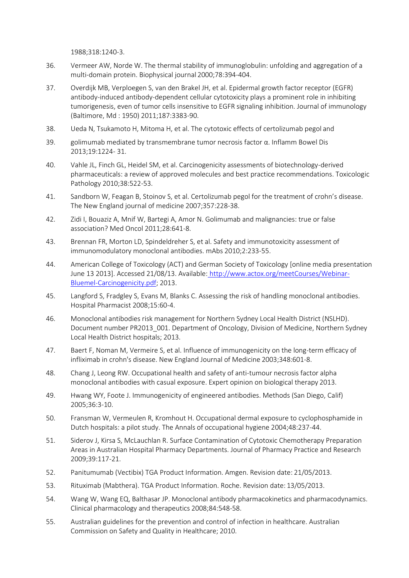1988;318:1240-3.

- 36. Vermeer AW, Norde W. The thermal stability of immunoglobulin: unfolding and aggregation of a multi-domain protein. Biophysical journal 2000;78:394-404.
- 37. Overdijk MB, Verploegen S, van den Brakel JH, et al. Epidermal growth factor receptor (EGFR) antibody-induced antibody-dependent cellular cytotoxicity plays a prominent role in inhibiting tumorigenesis, even of tumor cells insensitive to EGFR signaling inhibition. Journal of immunology (Baltimore, Md : 1950) 2011;187:3383-90.
- 38. Ueda N, Tsukamoto H, Mitoma H, et al. The cytotoxic effects of certolizumab pegol and
- 39. golimumab mediated by transmembrane tumor necrosis factor α. Inflamm Bowel Dis 2013;19:1224- 31.
- 40. Vahle JL, Finch GL, Heidel SM, et al. Carcinogenicity assessments of biotechnology-derived pharmaceuticals: a review of approved molecules and best practice recommendations. Toxicologic Pathology 2010;38:522-53.
- 41. Sandborn W, Feagan B, Stoinov S, et al. Certolizumab pegol for the treatment of crohn's disease. The New England journal of medicine 2007;357:228-38.
- 42. Zidi I, Bouaziz A, Mnif W, Bartegi A, Amor N. Golimumab and malignancies: true or false association? Med Oncol 2011;28:641-8.
- 43. Brennan FR, Morton LD, Spindeldreher S, et al. Safety and immunotoxicity assessment of immunomodulatory monoclonal antibodies. mAbs 2010;2:233-55.
- 44. American College of Toxicology (ACT) and German Society of Toxicology [online media presentation June 13 2013]. Accessed 21/08/13. Available: [http://www.actox.org/meetCourses/Webinar-](http://www.actox.org/meetCourses/Webinar-Bluemel-Carcinogenicity.pdf)[Bluemel-Carcinogenicity.pdf;](http://www.actox.org/meetCourses/Webinar-Bluemel-Carcinogenicity.pdf) 2013.
- 45. Langford S, Fradgley S, Evans M, Blanks C. Assessing the risk of handling monoclonal antibodies. Hospital Pharmacist 2008;15:60-4.
- 46. Monoclonal antibodies risk management for Northern Sydney Local Health District (NSLHD). Document number PR2013\_001. Department of Oncology, Division of Medicine, Northern Sydney Local Health District hospitals; 2013.
- 47. Baert F, Noman M, Vermeire S, et al. Influence of immunogenicity on the long-term efficacy of infliximab in crohn's disease. New England Journal of Medicine 2003;348:601-8.
- 48. Chang J, Leong RW. Occupational health and safety of anti-tumour necrosis factor alpha monoclonal antibodies with casual exposure. Expert opinion on biological therapy 2013.
- 49. Hwang WY, Foote J. Immunogenicity of engineered antibodies. Methods (San Diego, Calif) 2005;36:3-10.
- 50. Fransman W, Vermeulen R, Kromhout H. Occupational dermal exposure to cyclophosphamide in Dutch hospitals: a pilot study. The Annals of occupational hygiene 2004;48:237-44.
- 51. Siderov J, Kirsa S, McLauchlan R. Surface Contamination of Cytotoxic Chemotherapy Preparation Areas in Australian Hospital Pharmacy Departments. Journal of Pharmacy Practice and Research 2009;39:117-21.
- 52. Panitumumab (Vectibix) TGA Product Information. Amgen. Revision date: 21/05/2013.
- 53. Rituximab (Mabthera). TGA Product Information. Roche. Revision date: 13/05/2013.
- 54. Wang W, Wang EQ, Balthasar JP. Monoclonal antibody pharmacokinetics and pharmacodynamics. Clinical pharmacology and therapeutics 2008;84:548-58.
- 55. Australian guidelines for the prevention and control of infection in healthcare. Australian Commission on Safety and Quality in Healthcare; 2010.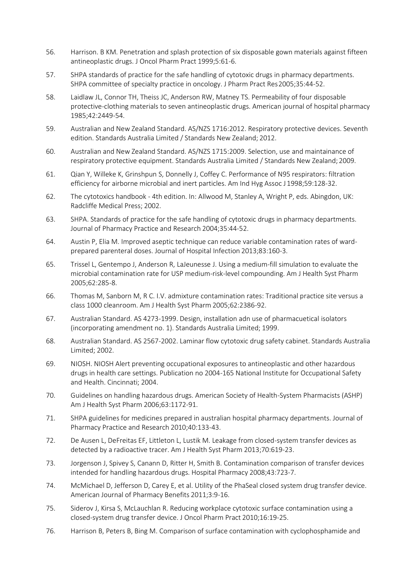- 56. Harrison. B KM. Penetration and splash protection of six disposable gown materials against fifteen antineoplastic drugs. J Oncol Pharm Pract 1999;5:61-6.
- 57. SHPA standards of practice for the safe handling of cytotoxic drugs in pharmacy departments. SHPA committee of specialty practice in oncology. J Pharm Pract Res2005;35:44-52.
- 58. Laidlaw JL, Connor TH, Theiss JC, Anderson RW, Matney TS. Permeability of four disposable protective-clothing materials to seven antineoplastic drugs. American journal of hospital pharmacy 1985;42:2449-54.
- 59. Australian and New Zealand Standard. AS/NZS 1716:2012. Respiratory protective devices. Seventh edition. Standards Australia Limited / Standards New Zealand; 2012.
- 60. Australian and New Zealand Standard. AS/NZS 1715:2009. Selection, use and maintainance of respiratory protective equipment. Standards Australia Limited / Standards New Zealand; 2009.
- 61. Qian Y, Willeke K, Grinshpun S, Donnelly J, Coffey C. Performance of N95 respirators: filtration efficiency for airborne microbial and inert particles. Am Ind Hyg Assoc J 1998;59:128-32.
- 62. The cytotoxics handbook 4th edition. In: Allwood M, Stanley A, Wright P, eds. Abingdon, UK: Radcliffe Medical Press; 2002.
- 63. SHPA. Standards of practice for the safe handling of cytotoxic drugs in pharmacy departments. Journal of Pharmacy Practice and Research 2004;35:44-52.
- 64. Austin P, Elia M. Improved aseptic technique can reduce variable contamination rates of wardprepared parenteral doses. Journal of Hospital Infection 2013;83:160-3.
- 65. Trissel L, Gentempo J, Anderson R, LaJeunesse J. Using a medium-fill simulation to evaluate the microbial contamination rate for USP medium-risk-level compounding. Am J Health Syst Pharm 2005;62:285-8.
- 66. Thomas M, Sanborn M, R C. I.V. admixture contamination rates: Traditional practice site versus a class 1000 cleanroom. Am J Health Syst Pharm 2005;62:2386-92.
- 67. Australian Standard. AS 4273-1999. Design, installation adn use of pharmacuetical isolators (incorporating amendment no. 1). Standards Australia Limited; 1999.
- 68. Australian Standard. AS 2567-2002. Laminar flow cytotoxic drug safety cabinet. Standards Australia Limited; 2002.
- 69. NIOSH. NIOSH Alert preventing occupational exposures to antineoplastic and other hazardous drugs in health care settings. Publication no 2004-165 National Institute for Occupational Safety and Health. Cincinnati; 2004.
- 70. Guidelines on handling hazardous drugs. American Society of Health-System Pharmacists (ASHP) Am J Health Syst Pharm 2006;63:1172-91.
- 71. SHPA guidelines for medicines prepared in australian hospital pharmacy departments. Journal of Pharmacy Practice and Research 2010;40:133-43.
- 72. De Ausen L, DeFreitas EF, Littleton L, Lustik M. Leakage from closed-system transfer devices as detected by a radioactive tracer. Am J Health Syst Pharm 2013;70:619-23.
- 73. Jorgenson J, Spivey S, Canann D, Ritter H, Smith B. Contamination comparison of transfer devices intended for handling hazardous drugs. Hospital Pharmacy 2008;43:723-7.
- 74. McMichael D, Jefferson D, Carey E, et al. Utility of the PhaSeal closed system drug transfer device. American Journal of Pharmacy Benefits 2011;3:9-16.
- 75. Siderov J, Kirsa S, McLauchlan R. Reducing workplace cytotoxic surface contamination using a closed-system drug transfer device. J Oncol Pharm Pract 2010;16:19-25.
- 76. Harrison B, Peters B, Bing M. Comparison of surface contamination with cyclophosphamide and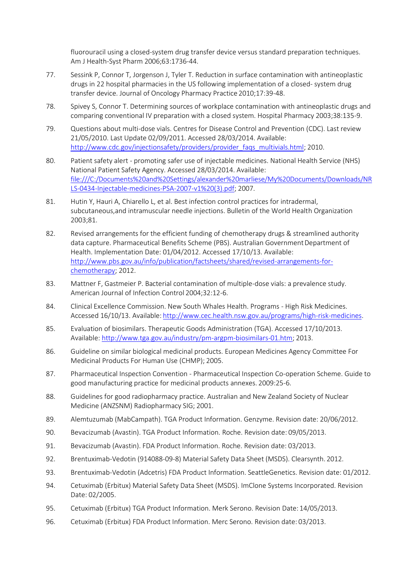fluorouracil using a closed-system drug transfer device versus standard preparation techniques. Am J Health-Syst Pharm 2006;63:1736-44.

- 77. Sessink P, Connor T, Jorgenson J, Tyler T. Reduction in surface contamination with antineoplastic drugs in 22 hospital pharmacies in the US following implementation of a closed- system drug transfer device. Journal of Oncology Pharmacy Practice 2010;17:39-48.
- 78. Spivey S, Connor T. Determining sources of workplace contamination with antineoplastic drugs and comparing conventional IV preparation with a closed system. Hospital Pharmacy 2003;38:135-9.
- 79. Questions about multi-dose vials. Centres for Disease Control and Prevention (CDC). Last review 21/05/2010. Last Update 02/09/2011. Accessed 28/03/2014. Available[:](http://www.cdc.gov/injectionsafety/providers/provider_faqs_multivials.html) [http://www.cdc.gov/injectionsafety/providers/provider\\_faqs\\_multivials.html;](http://www.cdc.gov/injectionsafety/providers/provider_faqs_multivials.html) 2010.
- 80. Patient safety alert promoting safer use of injectable medicines. National Health Service (NHS) National Patient Safety Agency. Accessed 28/03/2014. Available: file:///C:/Documents%20and%20Settings/alexander%20marliese/My%20Documents/Downloads/NR LS-0434-Injectable-medicines-PSA-2007-v1%20(3).pdf; 2007.
- 81. Hutin Y, Hauri A, Chiarello L, et al. Best infection control practices for intradermal, subcutaneous,and intramuscular needle injections. Bulletin of the World Health Organization 2003;81.
- 82. Revised arrangements for the efficient funding of chemotherapy drugs & streamlined authority data capture. Pharmaceutical Benefits Scheme (PBS). Australian Government Department of Health. Implementation Date: 01/04/2012. Accessed 17/10/13. Available: [http://www.pbs.gov.au/info/publication/factsheets/shared/revised-arrangements-for](http://www.pbs.gov.au/info/publication/factsheets/shared/revised-arrangements-for-chemotherapy)[chemotherapy;](http://www.pbs.gov.au/info/publication/factsheets/shared/revised-arrangements-for-chemotherapy) 2012.
- 83. Mattner F, Gastmeier P. Bacterial contamination of multiple-dose vials: a prevalence study. American Journal of Infection Control 2004;32:12-6.
- 84. Clinical Excellence Commission. New South Whales Health. Programs High Risk Medicines. Accessed 16/10/13. Available: [http://www.cec.health.nsw.gov.au/programs/high-risk-medicines.](http://www.cec.health.nsw.gov.au/programs/high-risk-medicines)
- 85. Evaluation of biosimilars. Therapeutic Goods Administration (TGA). Accessed 17/10/2013. Available: [http://www.tga.gov.au/industry/pm-argpm-biosimilars-01.htm;](http://www.tga.gov.au/industry/pm-argpm-biosimilars-01.htm) 2013.
- 86. Guideline on similar biological medicinal products. European Medicines Agency Committee For Medicinal Products For Human Use (CHMP); 2005.
- 87. Pharmaceutical Inspection Convention Pharmaceutical Inspection Co-operation Scheme. Guide to good manufacturing practice for medicinal products annexes. 2009:25-6.
- 88. Guidelines for good radiopharmacy practice. Australian and New Zealand Society of Nuclear Medicine (ANZSNM) Radiopharmacy SIG; 2001.
- 89. Alemtuzumab (MabCampath). TGA Product Information. Genzyme. Revision date: 20/06/2012.
- 90. Bevacizumab (Avastin). TGA Product Information. Roche. Revision date: 09/05/2013.
- 91. Bevacizumab (Avastin). FDA Product Information. Roche. Revision date: 03/2013.
- 92. Brentuximab-Vedotin (914088-09-8) Material Safety Data Sheet (MSDS). Clearsynth. 2012.
- 93. Brentuximab-Vedotin (Adcetris) FDA Product Information. SeattleGenetics. Revision date: 01/2012.
- 94. Cetuximab (Erbitux) Material Safety Data Sheet (MSDS). ImClone Systems Incorporated. Revision Date: 02/2005.
- 95. Cetuximab (Erbitux) TGA Product Information. Merk Serono. Revision Date: 14/05/2013.
- 96. Cetuximab (Erbitux) FDA Product Information. Merc Serono. Revision date: 03/2013.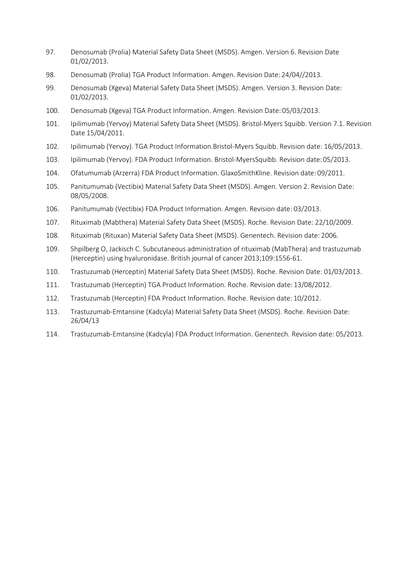- 97. Denosumab (Prolia) Material Safety Data Sheet (MSDS). Amgen. Version 6. Revision Date 01/02/2013.
- 98. Denosumab (Prolia) TGA Product Information. Amgen. Revision Date: 24/04//2013.
- 99. Denosumab (Xgeva) Material Safety Data Sheet (MSDS). Amgen. Version 3. Revision Date: 01/02/2013.
- 100. Denosumab (Xgeva) TGA Product Information. Amgen. Revision Date: 05/03/2013.
- 101. Ipilimumab (Yervoy) Material Safety Data Sheet (MSDS). Bristol-Myers Squibb. Version 7.1. Revision Date 15/04/2011.
- 102. Ipilimumab (Yervoy). TGA Product Information.Bristol-Myers Squibb. Revision date: 16/05/2013.
- 103. Ipilimumab (Yervoy). FDA Product Information. Bristol-MyersSquibb. Revision date: 05/2013.
- 104. Ofatumumab (Arzerra) FDA Product Information. GlaxoSmithKline. Revision date: 09/2011.
- 105. Panitumumab (Vectibix) Material Safety Data Sheet (MSDS). Amgen. Version 2. Revision Date: 08/05/2008.
- 106. Panitumumab (Vectibix) FDA Product Information. Amgen. Revision date: 03/2013.
- 107. Rituximab (Mabthera) Material Safety Data Sheet (MSDS). Roche. Revision Date: 22/10/2009.
- 108. Rituximab (Rituxan) Material Safety Data Sheet (MSDS). Genentech. Revision date: 2006.
- 109. Shpilberg O, Jackisch C. Subcutaneous administration of rituximab (MabThera) and trastuzumab (Herceptin) using hyaluronidase. British journal of cancer 2013;109:1556-61.
- 110. Trastuzumab (Herceptin) Material Safety Data Sheet (MSDS). Roche. Revision Date: 01/03/2013.
- 111. Trastuzumab (Herceptin) TGA Product Information. Roche. Revision date: 13/08/2012.
- 112. Trastuzumab (Herceptin) FDA Product Information. Roche. Revision date: 10/2012.
- 113. Trastuzumab-Emtansine (Kadcyla) Material Safety Data Sheet (MSDS). Roche. Revision Date: 26/04/13
- 114. Trastuzumab-Emtansine (Kadcyla) FDA Product Information. Genentech. Revision date: 05/2013.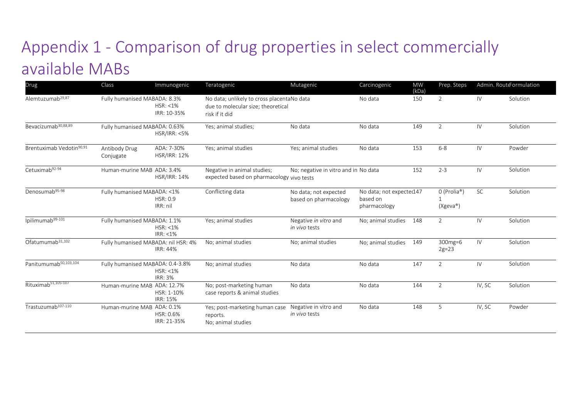# Appendix 1 - Comparison of drug properties in select commercially available MABs

<span id="page-43-0"></span>

| Drug                                 | Class                               | Immunogenic                       | Teratogenic                                                                                        | Mutagenic                                      | Carcinogenic                                         | <b>MW</b><br>(kDa) | Prep. Steps             |           | Admin. RouteFormulation |
|--------------------------------------|-------------------------------------|-----------------------------------|----------------------------------------------------------------------------------------------------|------------------------------------------------|------------------------------------------------------|--------------------|-------------------------|-----------|-------------------------|
| Alemtuzumab <sup>29,87</sup>         | Fully humanised MABADA: 8.3%        | $HSR: < 1\%$<br>IRR: 10-35%       | No data; unlikely to cross placentaNo data<br>due to molecular size; theoretical<br>risk if it did |                                                | No data                                              | 150                | $\overline{2}$          | IV        | Solution                |
| Bevacizumab <sup>30,88,89</sup>      | Fully humanised MABADA: 0.63%       | <b>HSR/IRR: &lt;5%</b>            | Yes; animal studies;                                                                               | No data                                        | No data                                              | 149                | 2                       | IV        | Solution                |
| Brentuximab Vedotin <sup>90,91</sup> | Antibody Drug<br>Conjugate          | ADA: 7-30%<br><b>HSR/IRR: 12%</b> | Yes; animal studies                                                                                | Yes: animal studies                            | No data                                              | 153                | $6 - 8$                 | IV        | Powder                  |
| Cetuximab92-94                       | Human-murine MAB ADA: 3.4%          | <b>HSR/IRR: 14%</b>               | Negative in animal studies;<br>expected based on pharmacology vivo tests                           | No; negative in vitro and in No data           |                                                      | 152                | $2 - 3$                 | IV        | Solution                |
| Denosumab <sup>95-98</sup>           | Fully humanised MABADA: < 1%        | HSR: 0.9<br>IRR: nil              | Conflicting data                                                                                   | No data; not expected<br>based on pharmacology | No data; not expected147<br>based on<br>pharmacology |                    | 0 (Prolia®)<br>(Xgeva®) | <b>SC</b> | Solution                |
| Ipilimumab <sup>99-101</sup>         | Fully humanised MABADA: 1.1%        | $HSR: < 1\%$<br>$IRR: < 1\%$      | Yes; animal studies                                                                                | Negative in vitro and<br>in vivo tests         | No; animal studies                                   | 148                | $\overline{2}$          | IV        | Solution                |
| Ofatumumab <sup>31,102</sup>         | Fully humanised MABADA: nil HSR: 4% | IRR: 44%                          | No; animal studies                                                                                 | No; animal studies                             | No; animal studies                                   | 149                | 300mg=6<br>$2g=23$      | IV        | Solution                |
| Panitumumab <sup>50,103,104</sup>    | Fully humanised MABADA: 0.4-3.8%    | $HSR: < 1\%$<br><b>IRR: 3%</b>    | No; animal studies                                                                                 | No data                                        | No data                                              | 147                | $\overline{2}$          | IV        | Solution                |
| Rituximab <sup>51,105-107</sup>      | Human-murine MAB ADA: 12.7%         | HSR: 1-10%<br><b>IRR: 15%</b>     | No; post-marketing human<br>case reports & animal studies                                          | No data                                        | No data                                              | 144                | $\overline{2}$          | IV, SC    | Solution                |
| Trastuzumab <sup>107-110</sup>       | Human-murine MAB ADA: 0.1%          | HSR: 0.6%<br>IRR: 21-35%          | Yes; post-marketing human case<br>reports.<br>No; animal studies                                   | Negative in vitro and<br>in vivo tests         | No data                                              | 148                | 5                       | IV, SC    | Powder                  |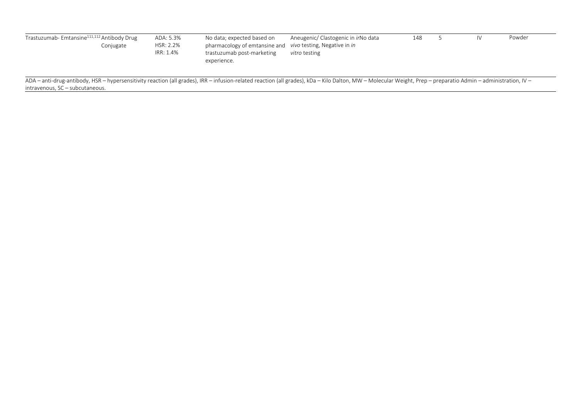| Trastuzumab-Emtansine <sup>111,112</sup> Antibody Drug<br>ADA: 5.3%<br>HSR: 2.2%<br>Conjugate<br>IRR: 1.4% | No data; expected based on<br>Aneugenic/ Clastogenic in <i>ir</i> No data<br>pharmacology of emtansine and vivo testing, Negative in in<br>trastuzumab post-marketing<br><i>vitro</i> testing<br>experience. | 148 |  | IV | Powder |
|------------------------------------------------------------------------------------------------------------|--------------------------------------------------------------------------------------------------------------------------------------------------------------------------------------------------------------|-----|--|----|--------|
|------------------------------------------------------------------------------------------------------------|--------------------------------------------------------------------------------------------------------------------------------------------------------------------------------------------------------------|-----|--|----|--------|

ADA – anti-drug-antibody, HSR – hypersensitivity reaction (all grades), IRR – infusion-related reaction (all grades), kDa – Kilo Dalton, MW – Molecular Weight, Prep – preparatio Admin – administration, IV – intravenous, SC – subcutaneous.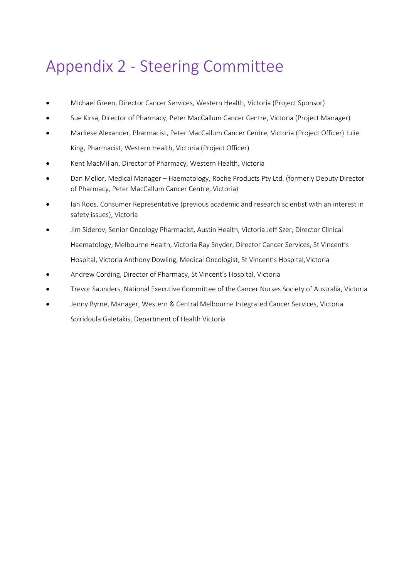## <span id="page-45-0"></span>Appendix 2 - Steering Committee

- Michael Green, Director Cancer Services, Western Health, Victoria (Project Sponsor)
- Sue Kirsa, Director of Pharmacy, Peter MacCallum Cancer Centre, Victoria (Project Manager)
- Marliese Alexander, Pharmacist, Peter MacCallum Cancer Centre, Victoria (Project Officer) Julie King, Pharmacist, Western Health, Victoria (Project Officer)
- Kent MacMillan, Director of Pharmacy, Western Health, Victoria
- Dan Mellor, Medical Manager Haematology, Roche Products Pty Ltd. (formerly Deputy Director of Pharmacy, Peter MacCallum Cancer Centre, Victoria)
- Ian Roos, Consumer Representative (previous academic and research scientist with an interest in safety issues), Victoria
- Jim Siderov, Senior Oncology Pharmacist, Austin Health, Victoria Jeff Szer, Director Clinical Haematology, Melbourne Health, Victoria Ray Snyder, Director Cancer Services, St Vincent's Hospital, Victoria Anthony Dowling, Medical Oncologist, St Vincent's Hospital,Victoria
- Andrew Cording, Director of Pharmacy, St Vincent's Hospital, Victoria
- Trevor Saunders, National Executive Committee of the Cancer Nurses Society of Australia, Victoria
- Jenny Byrne, Manager, Western & Central Melbourne Integrated Cancer Services, Victoria Spiridoula Galetakis, Department of Health Victoria